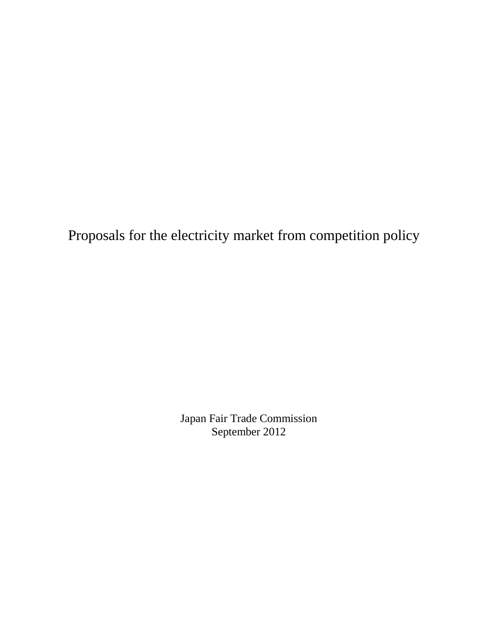Proposals for the electricity market from competition policy

Japan Fair Trade Commission September 2012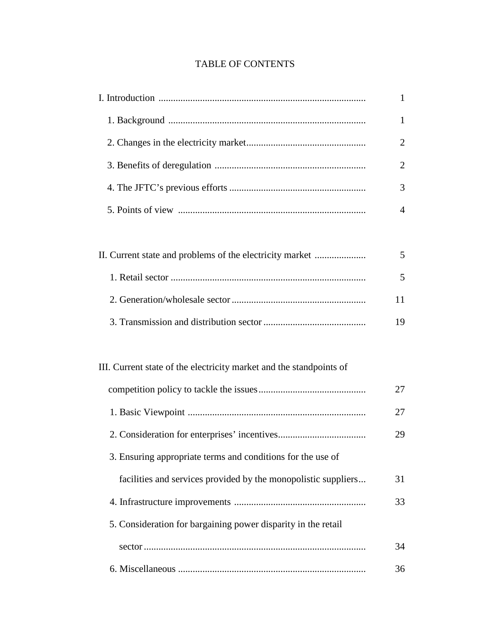# TABLE OF CONTENTS

|                                                                     | $\mathbf{1}$   |
|---------------------------------------------------------------------|----------------|
|                                                                     | 1              |
|                                                                     | 2              |
|                                                                     | $\overline{2}$ |
|                                                                     | 3              |
|                                                                     | 4              |
|                                                                     |                |
| II. Current state and problems of the electricity market            | 5              |
|                                                                     | 5              |
|                                                                     | 11             |
|                                                                     | 19             |
|                                                                     |                |
| III. Current state of the electricity market and the standpoints of |                |
|                                                                     | 27             |
|                                                                     | 27             |
|                                                                     | 29             |
| 3. Ensuring appropriate terms and conditions for the use of         |                |
| facilities and services provided by the monopolistic suppliers      | 31             |
|                                                                     | 33             |
| 5. Consideration for bargaining power disparity in the retail       |                |
|                                                                     | 34             |
|                                                                     | 36             |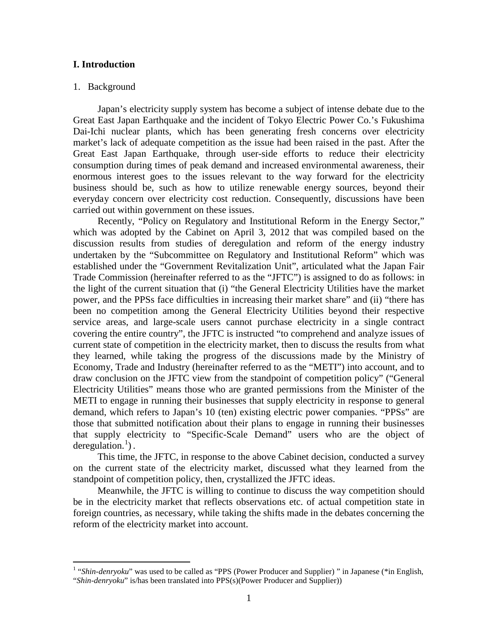## **I. Introduction**

### 1. Background

Japan's electricity supply system has become a subject of intense debate due to the Great East Japan Earthquake and the incident of Tokyo Electric Power Co.'s Fukushima Dai-Ichi nuclear plants, which has been generating fresh concerns over electricity market's lack of adequate competition as the issue had been raised in the past. After the Great East Japan Earthquake, through user-side efforts to reduce their electricity consumption during times of peak demand and increased environmental awareness, their enormous interest goes to the issues relevant to the way forward for the electricity business should be, such as how to utilize renewable energy sources, beyond their everyday concern over electricity cost reduction. Consequently, discussions have been carried out within government on these issues.

Recently, "Policy on Regulatory and Institutional Reform in the Energy Sector," which was adopted by the Cabinet on April 3, 2012 that was compiled based on the discussion results from studies of deregulation and reform of the energy industry undertaken by the "Subcommittee on Regulatory and Institutional Reform" which was established under the "Government Revitalization Unit", articulated what the Japan Fair Trade Commission (hereinafter referred to as the "JFTC") is assigned to do as follows: in the light of the current situation that (i) "the General Electricity Utilities have the market power, and the PPSs face difficulties in increasing their market share" and (ii) "there has been no competition among the General Electricity Utilities beyond their respective service areas, and large-scale users cannot purchase electricity in a single contract covering the entire country", the JFTC is instructed "to comprehend and analyze issues of current state of competition in the electricity market, then to discuss the results from what they learned, while taking the progress of the discussions made by the Ministry of Economy, Trade and Industry (hereinafter referred to as the "METI") into account, and to draw conclusion on the JFTC view from the standpoint of competition policy" ("General Electricity Utilities" means those who are granted permissions from the Minister of the METI to engage in running their businesses that supply electricity in response to general demand, which refers to Japan's 10 (ten) existing electric power companies. "PPSs" are those that submitted notification about their plans to engage in running their businesses that supply electricity to "Specific-Scale Demand" users who are the object of deregulation.<sup>[1](#page-4-0)</sup>).

This time, the JFTC, in response to the above Cabinet decision, conducted a survey on the current state of the electricity market, discussed what they learned from the standpoint of competition policy, then, crystallized the JFTC ideas.

Meanwhile, the JFTC is willing to continue to discuss the way competition should be in the electricity market that reflects observations etc. of actual competition state in foreign countries, as necessary, while taking the shifts made in the debates concerning the reform of the electricity market into account.

<span id="page-4-0"></span><sup>&</sup>lt;sup>1</sup> "Shin-denryoku" was used to be called as "PPS (Power Producer and Supplier)" in Japanese (\*in English, "*Shin-denryoku*" is/has been translated into PPS(s)(Power Producer and Supplier))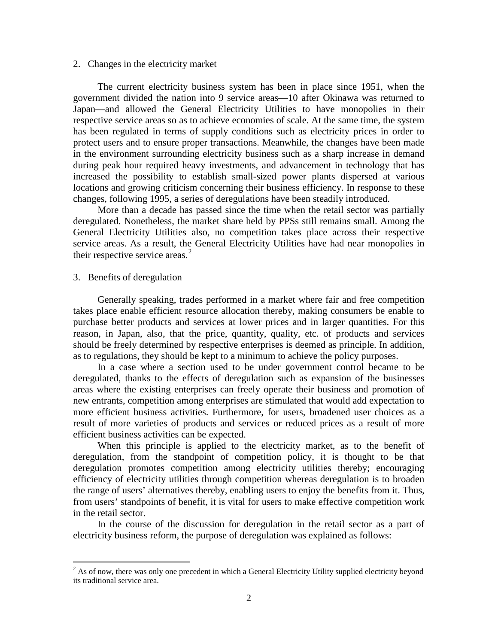#### 2. Changes in the electricity market

The current electricity business system has been in place since 1951, when the government divided the nation into 9 service areas—10 after Okinawa was returned to Japan—and allowed the General Electricity Utilities to have monopolies in their respective service areas so as to achieve economies of scale. At the same time, the system has been regulated in terms of supply conditions such as electricity prices in order to protect users and to ensure proper transactions. Meanwhile, the changes have been made in the environment surrounding electricity business such as a sharp increase in demand during peak hour required heavy investments, and advancement in technology that has increased the possibility to establish small-sized power plants dispersed at various locations and growing criticism concerning their business efficiency. In response to these changes, following 1995, a series of deregulations have been steadily introduced.

More than a decade has passed since the time when the retail sector was partially deregulated. Nonetheless, the market share held by PPSs still remains small. Among the General Electricity Utilities also, no competition takes place across their respective service areas. As a result, the General Electricity Utilities have had near monopolies in their respective service areas.<sup>[2](#page-5-0)</sup>

### 3. Benefits of deregulation

Generally speaking, trades performed in a market where fair and free competition takes place enable efficient resource allocation thereby, making consumers be enable to purchase better products and services at lower prices and in larger quantities. For this reason, in Japan, also, that the price, quantity, quality, etc. of products and services should be freely determined by respective enterprises is deemed as principle. In addition, as to regulations, they should be kept to a minimum to achieve the policy purposes.

In a case where a section used to be under government control became to be deregulated, thanks to the effects of deregulation such as expansion of the businesses areas where the existing enterprises can freely operate their business and promotion of new entrants, competition among enterprises are stimulated that would add expectation to more efficient business activities. Furthermore, for users, broadened user choices as a result of more varieties of products and services or reduced prices as a result of more efficient business activities can be expected.

When this principle is applied to the electricity market, as to the benefit of deregulation, from the standpoint of competition policy, it is thought to be that deregulation promotes competition among electricity utilities thereby; encouraging efficiency of electricity utilities through competition whereas deregulation is to broaden the range of users' alternatives thereby, enabling users to enjoy the benefits from it. Thus, from users' standpoints of benefit, it is vital for users to make effective competition work in the retail sector.

In the course of the discussion for deregulation in the retail sector as a part of electricity business reform, the purpose of deregulation was explained as follows:

<span id="page-5-0"></span><sup>&</sup>lt;sup>2</sup> As of now, there was only one precedent in which a General Electricity Utility supplied electricity beyond its traditional service area.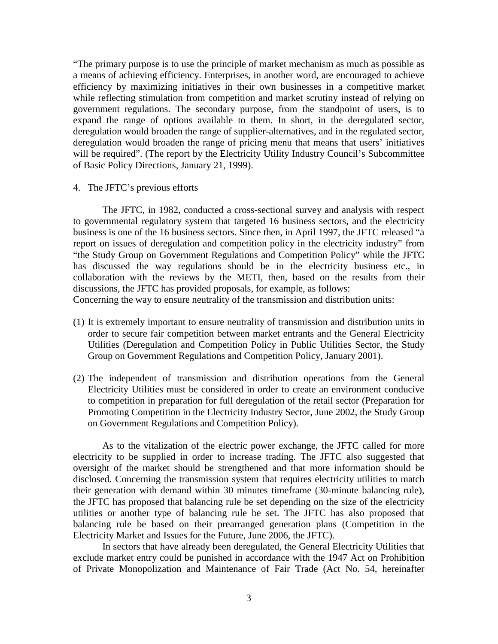"The primary purpose is to use the principle of market mechanism as much as possible as a means of achieving efficiency. Enterprises, in another word, are encouraged to achieve efficiency by maximizing initiatives in their own businesses in a competitive market while reflecting stimulation from competition and market scrutiny instead of relying on government regulations. The secondary purpose, from the standpoint of users, is to expand the range of options available to them. In short, in the deregulated sector, deregulation would broaden the range of supplier-alternatives, and in the regulated sector, deregulation would broaden the range of pricing menu that means that users' initiatives will be required". (The report by the Electricity Utility Industry Council's Subcommittee of Basic Policy Directions, January 21, 1999).

4. The JFTC's previous efforts

The JFTC, in 1982, conducted a cross-sectional survey and analysis with respect to governmental regulatory system that targeted 16 business sectors, and the electricity business is one of the 16 business sectors. Since then, in April 1997, the JFTC released "a report on issues of deregulation and competition policy in the electricity industry" from "the Study Group on Government Regulations and Competition Policy" while the JFTC has discussed the way regulations should be in the electricity business etc., in collaboration with the reviews by the METI, then, based on the results from their discussions, the JFTC has provided proposals, for example, as follows: Concerning the way to ensure neutrality of the transmission and distribution units:

- (1) It is extremely important to ensure neutrality of transmission and distribution units in order to secure fair competition between market entrants and the General Electricity Utilities (Deregulation and Competition Policy in Public Utilities Sector, the Study Group on Government Regulations and Competition Policy, January 2001).
- (2) The independent of transmission and distribution operations from the General Electricity Utilities must be considered in order to create an environment conducive to competition in preparation for full deregulation of the retail sector (Preparation for Promoting Competition in the Electricity Industry Sector, June 2002, the Study Group on Government Regulations and Competition Policy).

As to the vitalization of the electric power exchange, the JFTC called for more electricity to be supplied in order to increase trading. The JFTC also suggested that oversight of the market should be strengthened and that more information should be disclosed. Concerning the transmission system that requires electricity utilities to match their generation with demand within 30 minutes timeframe (30-minute balancing rule), the JFTC has proposed that balancing rule be set depending on the size of the electricity utilities or another type of balancing rule be set. The JFTC has also proposed that balancing rule be based on their prearranged generation plans (Competition in the Electricity Market and Issues for the Future, June 2006, the JFTC).

In sectors that have already been deregulated, the General Electricity Utilities that exclude market entry could be punished in accordance with the 1947 Act on Prohibition of Private Monopolization and Maintenance of Fair Trade (Act No. 54, hereinafter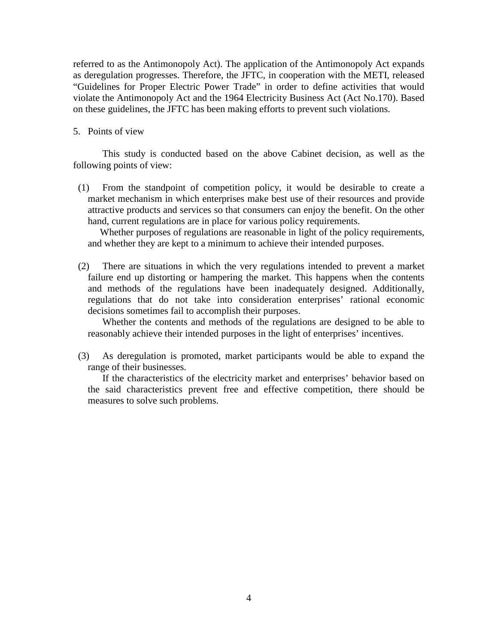referred to as the Antimonopoly Act). The application of the Antimonopoly Act expands as deregulation progresses. Therefore, the JFTC, in cooperation with the METI, released "Guidelines for Proper Electric Power Trade" in order to define activities that would violate the Antimonopoly Act and the 1964 Electricity Business Act (Act No.170). Based on these guidelines, the JFTC has been making efforts to prevent such violations.

# 5. Points of view

This study is conducted based on the above Cabinet decision, as well as the following points of view:

(1) From the standpoint of competition policy, it would be desirable to create a market mechanism in which enterprises make best use of their resources and provide attractive products and services so that consumers can enjoy the benefit. On the other hand, current regulations are in place for various policy requirements.

Whether purposes of regulations are reasonable in light of the policy requirements, and whether they are kept to a minimum to achieve their intended purposes.

(2) There are situations in which the very regulations intended to prevent a market failure end up distorting or hampering the market. This happens when the contents and methods of the regulations have been inadequately designed. Additionally, regulations that do not take into consideration enterprises' rational economic decisions sometimes fail to accomplish their purposes.

Whether the contents and methods of the regulations are designed to be able to reasonably achieve their intended purposes in the light of enterprises' incentives.

(3) As deregulation is promoted, market participants would be able to expand the range of their businesses.

If the characteristics of the electricity market and enterprises' behavior based on the said characteristics prevent free and effective competition, there should be measures to solve such problems.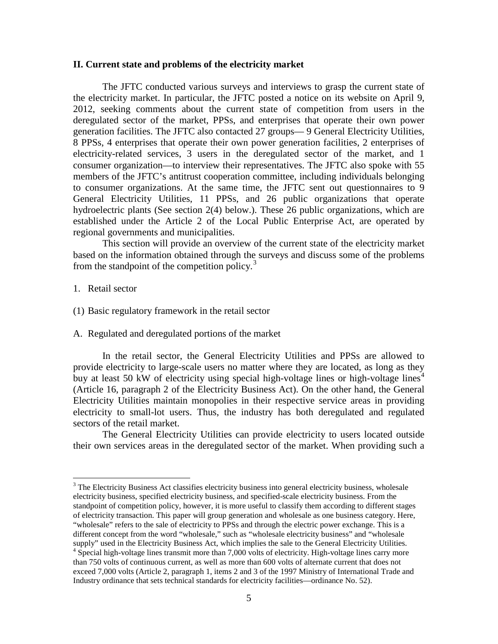### **II. Current state and problems of the electricity market**

The JFTC conducted various surveys and interviews to grasp the current state of the electricity market. In particular, the JFTC posted a notice on its website on April 9, 2012, seeking comments about the current state of competition from users in the deregulated sector of the market, PPSs, and enterprises that operate their own power generation facilities. The JFTC also contacted 27 groups— 9 General Electricity Utilities, 8 PPSs, 4 enterprises that operate their own power generation facilities, 2 enterprises of electricity-related services, 3 users in the deregulated sector of the market, and 1 consumer organization—to interview their representatives. The JFTC also spoke with 55 members of the JFTC's antitrust cooperation committee, including individuals belonging to consumer organizations. At the same time, the JFTC sent out questionnaires to 9 General Electricity Utilities, 11 PPSs, and 26 public organizations that operate hydroelectric plants (See section 2(4) below.). These 26 public organizations, which are established under the Article 2 of the Local Public Enterprise Act, are operated by regional governments and municipalities.

This section will provide an overview of the current state of the electricity market based on the information obtained through the surveys and discuss some of the problems from the standpoint of the competition policy. $3$ 

- 1. Retail sector
- (1) Basic regulatory framework in the retail sector
- A. Regulated and deregulated portions of the market

In the retail sector, the General Electricity Utilities and PPSs are allowed to provide electricity to large-scale users no matter where they are located, as long as they buy at least 50 kW of electricity using special high-voltage lines or high-voltage lines<sup>[4](#page-8-1)</sup> (Article 16, paragraph 2 of the Electricity Business Act). On the other hand, the General Electricity Utilities maintain monopolies in their respective service areas in providing electricity to small-lot users. Thus, the industry has both deregulated and regulated sectors of the retail market.

The General Electricity Utilities can provide electricity to users located outside their own services areas in the deregulated sector of the market. When providing such a

<span id="page-8-1"></span><span id="page-8-0"></span><sup>&</sup>lt;sup>3</sup> The Electricity Business Act classifies electricity business into general electricity business, wholesale electricity business, specified electricity business, and specified-scale electricity business. From the standpoint of competition policy, however, it is more useful to classify them according to different stages of electricity transaction. This paper will group generation and wholesale as one business category. Here, "wholesale" refers to the sale of electricity to PPSs and through the electric power exchange. This is a different concept from the word "wholesale," such as "wholesale electricity business" and "wholesale supply" used in the Electricity Business Act, which implies the sale to the General Electricity Utilities.<br><sup>4</sup> Special high-voltage lines transmit more than 7,000 volts of electricity. High-voltage lines carry more than 750 volts of continuous current, as well as more than 600 volts of alternate current that does not exceed 7,000 volts (Article 2, paragraph 1, items 2 and 3 of the 1997 Ministry of International Trade and Industry ordinance that sets technical standards for electricity facilities—ordinance No. 52).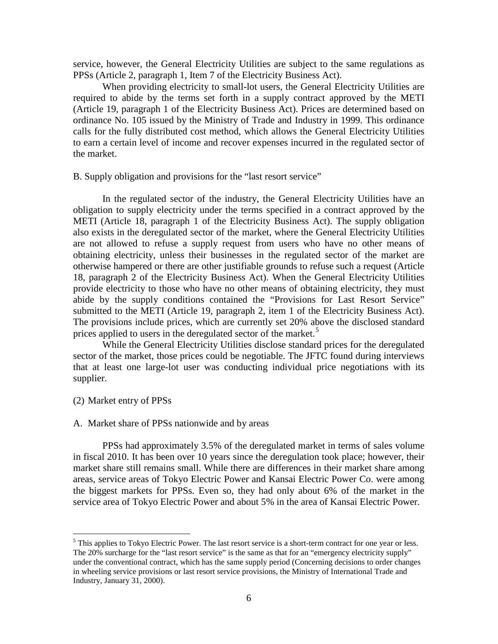service, however, the General Electricity Utilities are subject to the same regulations as PPSs (Article 2, paragraph 1, Item 7 of the Electricity Business Act).

When providing electricity to small-lot users, the General Electricity Utilities are required to abide by the terms set forth in a supply contract approved by the METI (Article 19, paragraph 1 of the Electricity Business Act). Prices are determined based on ordinance No. 105 issued by the Ministry of Trade and Industry in 1999. This ordinance calls for the fully distributed cost method, which allows the General Electricity Utilities to earn a certain level of income and recover expenses incurred in the regulated sector of the market.

B. Supply obligation and provisions for the "last resort service"

In the regulated sector of the industry, the General Electricity Utilities have an obligation to supply electricity under the terms specified in a contract approved by the METI (Article 18, paragraph 1 of the Electricity Business Act). The supply obligation also exists in the deregulated sector of the market, where the General Electricity Utilities are not allowed to refuse a supply request from users who have no other means of obtaining electricity, unless their businesses in the regulated sector of the market are otherwise hampered or there are other justifiable grounds to refuse such a request (Article 18, paragraph 2 of the Electricity Business Act). When the General Electricity Utilities provide electricity to those who have no other means of obtaining electricity, they must abide by the supply conditions contained the "Provisions for Last Resort Service" submitted to the METI (Article 19, paragraph 2, item 1 of the Electricity Business Act). The provisions include prices, which are currently set 20% above the disclosed standard prices applied to users in the deregulated sector of the market.<sup>[5](#page-9-0)</sup>

While the General Electricity Utilities disclose standard prices for the deregulated sector of the market, those prices could be negotiable. The JFTC found during interviews that at least one large-lot user was conducting individual price negotiations with its supplier.

# (2) Market entry of PPSs

#### A. Market share of PPSs nationwide and by areas

PPSs had approximately 3.5% of the deregulated market in terms of sales volume in fiscal 2010. It has been over 10 years since the deregulation took place; however, their market share still remains small. While there are differences in their market share among areas, service areas of Tokyo Electric Power and Kansai Electric Power Co. were among the biggest markets for PPSs. Even so, they had only about 6% of the market in the service area of Tokyo Electric Power and about 5% in the area of Kansai Electric Power.

<span id="page-9-0"></span><sup>&</sup>lt;sup>5</sup> This applies to Tokyo Electric Power. The last resort service is a short-term contract for one year or less. The 20% surcharge for the "last resort service" is the same as that for an "emergency electricity supply" under the conventional contract, which has the same supply period (Concerning decisions to order changes in wheeling service provisions or last resort service provisions, the Ministry of International Trade and Industry, January 31, 2000).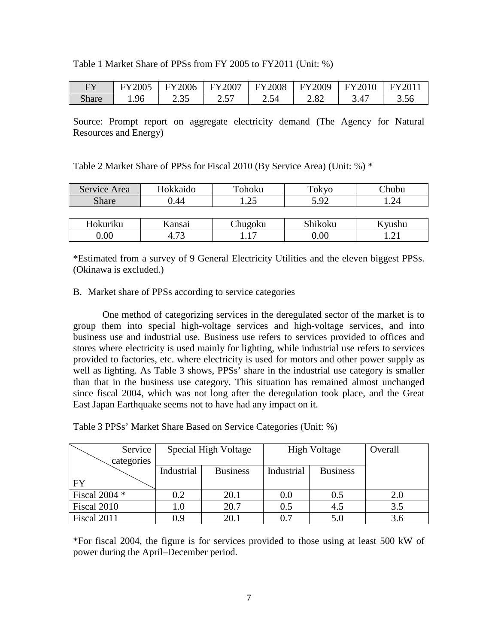| Table 1 Market Share of PPSs from FY 2005 to FY2011 (Unit: %) |  |  |  |  |
|---------------------------------------------------------------|--|--|--|--|
|---------------------------------------------------------------|--|--|--|--|

| FY           | <b>FY2005</b> | FY2006 | FY2007                   | <b>FY2008</b>         | Y2009 | <b>FY2010</b> | $\Pi$ Y2011 |
|--------------|---------------|--------|--------------------------|-----------------------|-------|---------------|-------------|
| <b>Share</b> | .96           | 2.35   | $\overline{\phantom{a}}$ | -54<br>$\overline{a}$ | 2.82  | 3.47          | 3.56        |

Source: Prompt report on aggregate electricity demand (The Agency for Natural Resources and Energy)

| Service Area | Hokkaido | Tohoku  | Tokyo   | Chubu  |
|--------------|----------|---------|---------|--------|
| <b>Share</b> | ).44     | 25      | 5.92    |        |
|              |          |         |         |        |
| Hokuriku     | Kansai   | Chugoku | Shikoku | Kyushu |
| 0.00         | 4.73     |         | 0.00    |        |

\*Estimated from a survey of 9 General Electricity Utilities and the eleven biggest PPSs. (Okinawa is excluded.)

## B. Market share of PPSs according to service categories

One method of categorizing services in the deregulated sector of the market is to group them into special high-voltage services and high-voltage services, and into business use and industrial use. Business use refers to services provided to offices and stores where electricity is used mainly for lighting, while industrial use refers to services provided to factories, etc. where electricity is used for motors and other power supply as well as lighting. As Table 3 shows, PPSs' share in the industrial use category is smaller than that in the business use category. This situation has remained almost unchanged since fiscal 2004, which was not long after the deregulation took place, and the Great East Japan Earthquake seems not to have had any impact on it.

Table 3 PPSs' Market Share Based on Service Categories (Unit: %)

| Service       | Special High Voltage |                 | <b>High Voltage</b> | Overall         |     |
|---------------|----------------------|-----------------|---------------------|-----------------|-----|
| categories    |                      |                 |                     |                 |     |
|               | Industrial           | <b>Business</b> | Industrial          | <b>Business</b> |     |
| <b>FY</b>     |                      |                 |                     |                 |     |
| Fiscal 2004 * | 0.2                  | 20.1            | 0.0                 | 0.5             | 2.0 |
| Fiscal 2010   | $1.0\,$              | 20.7            | 0.5                 | 4.5             | 3.5 |
| Fiscal 2011   | 0.9                  | 20.1            | 0.7                 | 5.0             | 3.6 |

\*For fiscal 2004, the figure is for services provided to those using at least 500 kW of power during the April–December period.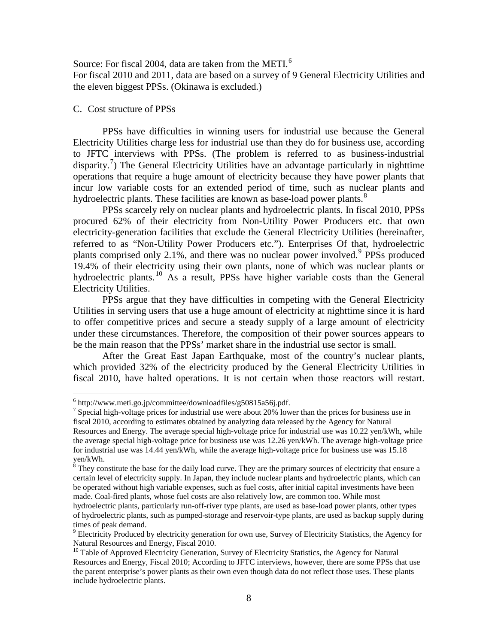Source: For fiscal 2004, data are taken from the METI.<sup>[6](#page-11-0)</sup> For fiscal 2010 and 2011, data are based on a survey of 9 General Electricity Utilities and the eleven biggest PPSs. (Okinawa is excluded.)

### C. Cost structure of PPSs

PPSs have difficulties in winning users for industrial use because the General Electricity Utilities charge less for industrial use than they do for business use, according to JFTC interviews with PPSs. (The problem is referred to as business-industrial disparity.<sup>[7](#page-11-1)</sup>) The General Electricity Utilities have an advantage particularly in nighttime operations that require a huge amount of electricity because they have power plants that incur low variable costs for an extended period of time, such as nuclear plants and hydroelectric plants. These facilities are known as base-load power plants.<sup>[8](#page-11-2)</sup>

PPSs scarcely rely on nuclear plants and hydroelectric plants. In fiscal 2010, PPSs procured 62% of their electricity from Non-Utility Power Producers etc. that own electricity-generation facilities that exclude the General Electricity Utilities (hereinafter, referred to as "Non-Utility Power Producers etc."). Enterprises Of that, hydroelectric plants comprised only 2.1%, and there was no nuclear power involved.<sup>[9](#page-11-3)</sup> PPSs produced 19.4% of their electricity using their own plants, none of which was nuclear plants or hydroelectric plants.<sup>[10](#page-11-4)</sup> As a result, PPSs have higher variable costs than the General Electricity Utilities.

PPSs argue that they have difficulties in competing with the General Electricity Utilities in serving users that use a huge amount of electricity at nighttime since it is hard to offer competitive prices and secure a steady supply of a large amount of electricity under these circumstances. Therefore, the composition of their power sources appears to be the main reason that the PPSs' market share in the industrial use sector is small.

After the Great East Japan Earthquake, most of the country's nuclear plants, which provided 32% of the electricity produced by the General Electricity Utilities in fiscal 2010, have halted operations. It is not certain when those reactors will restart.

<span id="page-11-1"></span><span id="page-11-0"></span><sup>&</sup>lt;sup>6</sup> [http://www.meti.go.jp/committee/downloadfiles/g50815a56j.pdf.](http://www.meti.go.jp/committee/downloadfiles/g50815a56j.pdf)<br><sup>7</sup> Special high-voltage prices for industrial use were about 20% lower than the prices for business use in fiscal 2010, according to estimates obtained by analyzing data released by the Agency for Natural Resources and Energy. The average special high-voltage price for industrial use was 10.22 yen/kWh, while the average special high-voltage price for business use was 12.26 yen/kWh. The average high-voltage price for industrial use was 14.44 yen/kWh, while the average high-voltage price for business use was 15.18 yen/kWh.

<span id="page-11-2"></span><sup>&</sup>lt;sup>8</sup> They constitute the base for the daily load curve. They are the primary sources of electricity that ensure a certain level of electricity supply. In Japan, they include nuclear plants and hydroelectric plants, which can be operated without high variable expenses, such as fuel costs, after initial capital investments have been made. Coal-fired plants, whose fuel costs are also relatively low, are common too. While most

hydroelectric plants, particularly run-off-river type plants, are used as base-load power plants, other types of hydroelectric plants, such as pumped-storage and reservoir-type plants, are used as backup supply during times of peak demand.

<span id="page-11-3"></span><sup>&</sup>lt;sup>9</sup> Electricity Produced by electricity generation for own use, Survey of Electricity Statistics, the Agency for Natural Resources and Energy, Fiscal 2010.

<span id="page-11-4"></span> $10$  Table of Approved Electricity Generation, Survey of Electricity Statistics, the Agency for Natural Resources and Energy, Fiscal 2010; According to JFTC interviews, however, there are some PPSs that use the parent enterprise's power plants as their own even though data do not reflect those uses. These plants include hydroelectric plants.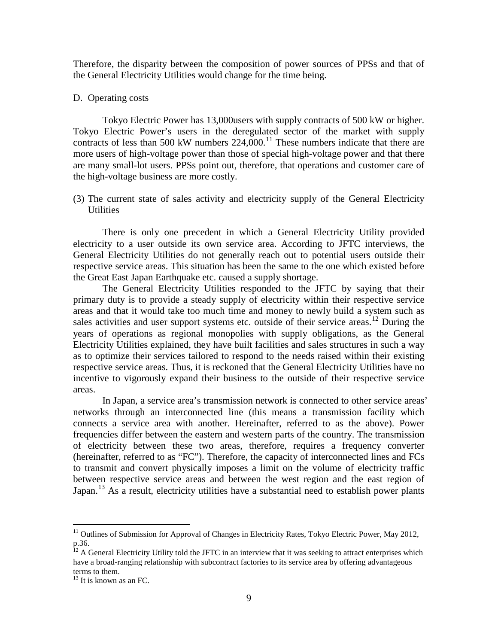Therefore, the disparity between the composition of power sources of PPSs and that of the General Electricity Utilities would change for the time being.

## D. Operating costs

Tokyo Electric Power has 13,000users with supply contracts of 500 kW or higher. Tokyo Electric Power's users in the deregulated sector of the market with supply contracts of less than 500 kW numbers  $224,000$ .<sup>[11](#page-12-0)</sup> These numbers indicate that there are more users of high-voltage power than those of special high-voltage power and that there are many small-lot users. PPSs point out, therefore, that operations and customer care of the high-voltage business are more costly.

(3) The current state of sales activity and electricity supply of the General Electricity **Utilities** 

There is only one precedent in which a General Electricity Utility provided electricity to a user outside its own service area. According to JFTC interviews, the General Electricity Utilities do not generally reach out to potential users outside their respective service areas. This situation has been the same to the one which existed before the Great East Japan Earthquake etc. caused a supply shortage.

The General Electricity Utilities responded to the JFTC by saying that their primary duty is to provide a steady supply of electricity within their respective service areas and that it would take too much time and money to newly build a system such as sales activities and user support systems etc. outside of their service areas.<sup>[12](#page-12-1)</sup> During the years of operations as regional monopolies with supply obligations, as the General Electricity Utilities explained, they have built facilities and sales structures in such a way as to optimize their services tailored to respond to the needs raised within their existing respective service areas. Thus, it is reckoned that the General Electricity Utilities have no incentive to vigorously expand their business to the outside of their respective service areas.

In Japan, a service area's transmission network is connected to other service areas' networks through an interconnected line (this means a transmission facility which connects a service area with another. Hereinafter, referred to as the above). Power frequencies differ between the eastern and western parts of the country. The transmission of electricity between these two areas, therefore, requires a frequency converter (hereinafter, referred to as "FC"). Therefore, the capacity of interconnected lines and FCs to transmit and convert physically imposes a limit on the volume of electricity traffic between respective service areas and between the west region and the east region of Japan.<sup>[13](#page-12-2)</sup> As a result, electricity utilities have a substantial need to establish power plants

<span id="page-12-0"></span><sup>&</sup>lt;sup>11</sup> Outlines of Submission for Approval of Changes in Electricity Rates, Tokyo Electric Power, May 2012, p.36.

<span id="page-12-1"></span> $12$  A General Electricity Utility told the JFTC in an interview that it was seeking to attract enterprises which have a broad-ranging relationship with subcontract factories to its service area by offering advantageous terms to them.

<span id="page-12-2"></span> $13$  It is known as an FC.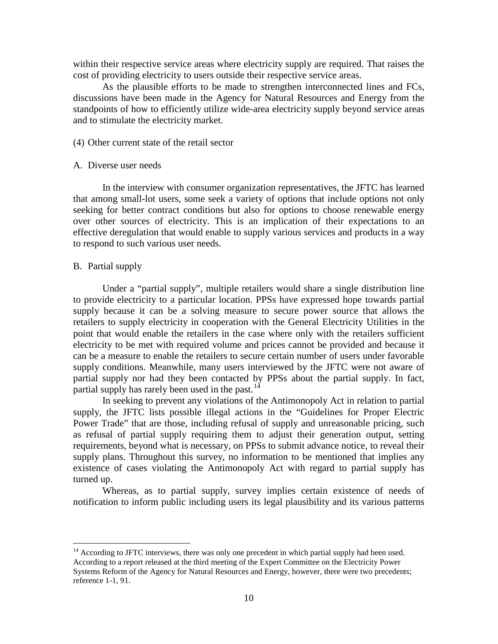within their respective service areas where electricity supply are required. That raises the cost of providing electricity to users outside their respective service areas.

As the plausible efforts to be made to strengthen interconnected lines and FCs, discussions have been made in the Agency for Natural Resources and Energy from the standpoints of how to efficiently utilize wide-area electricity supply beyond service areas and to stimulate the electricity market.

## (4) Other current state of the retail sector

### A. Diverse user needs

In the interview with consumer organization representatives, the JFTC has learned that among small-lot users, some seek a variety of options that include options not only seeking for better contract conditions but also for options to choose renewable energy over other sources of electricity. This is an implication of their expectations to an effective deregulation that would enable to supply various services and products in a way to respond to such various user needs.

#### B. Partial supply

Under a "partial supply", multiple retailers would share a single distribution line to provide electricity to a particular location. PPSs have expressed hope towards partial supply because it can be a solving measure to secure power source that allows the retailers to supply electricity in cooperation with the General Electricity Utilities in the point that would enable the retailers in the case where only with the retailers sufficient electricity to be met with required volume and prices cannot be provided and because it can be a measure to enable the retailers to secure certain number of users under favorable supply conditions. Meanwhile, many users interviewed by the JFTC were not aware of partial supply nor had they been contacted by PPSs about the partial supply. In fact, partial supply has rarely been used in the past.<sup>[14](#page-13-0)</sup>

In seeking to prevent any violations of the Antimonopoly Act in relation to partial supply, the JFTC lists possible illegal actions in the "Guidelines for Proper Electric Power Trade" that are those, including refusal of supply and unreasonable pricing, such as refusal of partial supply requiring them to adjust their generation output, setting requirements, beyond what is necessary, on PPSs to submit advance notice, to reveal their supply plans. Throughout this survey, no information to be mentioned that implies any existence of cases violating the Antimonopoly Act with regard to partial supply has turned up.

Whereas, as to partial supply, survey implies certain existence of needs of notification to inform public including users its legal plausibility and its various patterns

<span id="page-13-0"></span> $14$  According to JFTC interviews, there was only one precedent in which partial supply had been used. According to a report released at the third meeting of the Expert Committee on the Electricity Power Systems Reform of the Agency for Natural Resources and Energy, however, there were two precedents; reference 1-1, 91.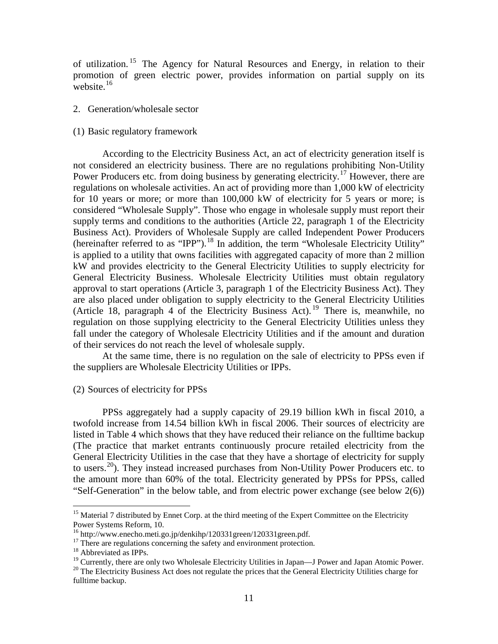of utilization.<sup>[15](#page-14-0)</sup> The Agency for Natural Resources and Energy, in relation to their promotion of green electric power, provides information on partial supply on its website. $16$ 

- 2. Generation/wholesale sector
- (1) Basic regulatory framework

According to the Electricity Business Act, an act of electricity generation itself is not considered an electricity business. There are no regulations prohibiting Non-Utility Power Producers etc. from doing business by generating electricity.<sup>[17](#page-14-2)</sup> However, there are regulations on wholesale activities. An act of providing more than 1,000 kW of electricity for 10 years or more; or more than 100,000 kW of electricity for 5 years or more; is considered "Wholesale Supply". Those who engage in wholesale supply must report their supply terms and conditions to the authorities (Article 22, paragraph 1 of the Electricity Business Act). Providers of Wholesale Supply are called Independent Power Producers (hereinafter referred to as "IPP").<sup>[18](#page-14-3)</sup> In addition, the term "Wholesale Electricity Utility" is applied to a utility that owns facilities with aggregated capacity of more than 2 million kW and provides electricity to the General Electricity Utilities to supply electricity for General Electricity Business. Wholesale Electricity Utilities must obtain regulatory approval to start operations (Article 3, paragraph 1 of the Electricity Business Act). They are also placed under obligation to supply electricity to the General Electricity Utilities (Article 18, paragraph 4 of the Electricity Business Act). [19](#page-14-4) There is, meanwhile, no regulation on those supplying electricity to the General Electricity Utilities unless they fall under the category of Wholesale Electricity Utilities and if the amount and duration of their services do not reach the level of wholesale supply.

At the same time, there is no regulation on the sale of electricity to PPSs even if the suppliers are Wholesale Electricity Utilities or IPPs.

(2) Sources of electricity for PPSs

PPSs aggregately had a supply capacity of 29.19 billion kWh in fiscal 2010, a twofold increase from 14.54 billion kWh in fiscal 2006. Their sources of electricity are listed in Table 4 which shows that they have reduced their reliance on the fulltime backup (The practice that market entrants continuously procure retailed electricity from the General Electricity Utilities in the case that they have a shortage of electricity for supply to users.<sup>[20](#page-14-5)</sup>). They instead increased purchases from Non-Utility Power Producers etc. to the amount more than 60% of the total. Electricity generated by PPSs for PPSs, called "Self-Generation" in the below table, and from electric power exchange (see below 2(6))

<span id="page-14-0"></span><sup>&</sup>lt;sup>15</sup> Material 7 distributed by Ennet Corp. at the third meeting of the Expert Committee on the Electricity Power Systems Reform, 10.<br><sup>16</sup> http://www.enecho.meti.go.jp/denkihp/120331green/120331green.pdf.

<span id="page-14-3"></span><span id="page-14-2"></span><span id="page-14-1"></span><sup>&</sup>lt;sup>17</sup> There are regulations concerning the safety and environment protection.<br><sup>18</sup> Abbreviated as IPPs.<br><sup>19</sup> Currently, there are only two Wholesale Electricity Utilities in Japan—J Power and Japan Atomic Power. <sup>20</sup> The Electricity Business Act does not regulate the prices that the General Electricity Utilities charge for

<span id="page-14-5"></span><span id="page-14-4"></span>fulltime backup.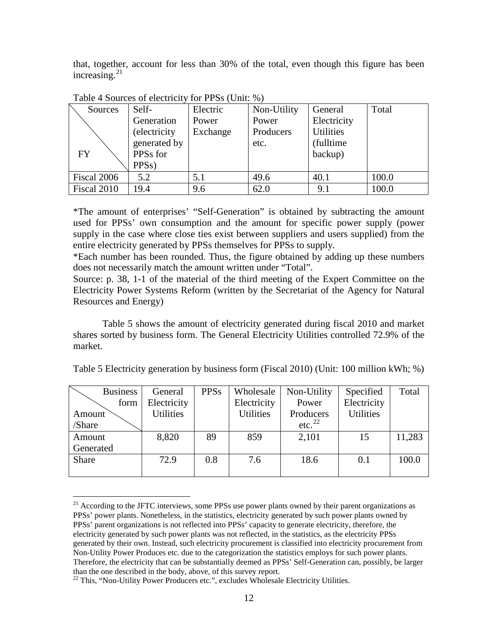that, together, account for less than 30% of the total, even though this figure has been increasing. $2<sup>1</sup>$ 

| Sources     | Self-              | Electric | Non-Utility | General          | Total |
|-------------|--------------------|----------|-------------|------------------|-------|
|             | Generation         | Power    | Power       | Electricity      |       |
|             | (electricity       | Exchange | Producers   | <b>Utilities</b> |       |
|             | generated by       |          | etc.        | (fulltime)       |       |
| <b>FY</b>   | PPSs for           |          |             | backup)          |       |
|             | PPS <sub>s</sub> ) |          |             |                  |       |
| Fiscal 2006 | 5.2                | 5.1      | 49.6        | 40.1             | 100.0 |
| Fiscal 2010 | 19.4               | 9.6      | 62.0        | 9.1              | 100.0 |

Table 4 Sources of electricity for PPSs (Unit: %)

\*The amount of enterprises' "Self-Generation" is obtained by subtracting the amount used for PPSs' own consumption and the amount for specific power supply (power supply in the case where close ties exist between suppliers and users supplied) from the entire electricity generated by PPSs themselves for PPSs to supply.

\*Each number has been rounded. Thus, the figure obtained by adding up these numbers does not necessarily match the amount written under "Total".

Source: p. 38, 1-1 of the material of the third meeting of the Expert Committee on the Electricity Power Systems Reform (written by the Secretariat of the Agency for Natural Resources and Energy)

Table 5 shows the amount of electricity generated during fiscal 2010 and market shares sorted by business form. The General Electricity Utilities controlled 72.9% of the market.

| <b>Business</b> | General          | <b>PPSs</b> | Wholesale   | Non-Utility        | Specified        | Total  |
|-----------------|------------------|-------------|-------------|--------------------|------------------|--------|
| form            | Electricity      |             | Electricity | Power              | Electricity      |        |
| Amount          | <b>Utilities</b> |             | Utilities   | Producers          | <b>Utilities</b> |        |
| /Share          |                  |             |             | etc. <sup>22</sup> |                  |        |
| Amount          | 8,820            | 89          | 859         | 2,101              | 15               | 11,283 |
| Generated       |                  |             |             |                    |                  |        |
| Share           | 72.9             | 0.8         | 7.6         | 18.6               | 0.1              | 100.0  |
|                 |                  |             |             |                    |                  |        |

<span id="page-15-0"></span><sup>&</sup>lt;sup>21</sup> According to the JFTC interviews, some PPSs use power plants owned by their parent organizations as PPSs' power plants. Nonetheless, in the statistics, electricity generated by such power plants owned by PPSs' parent organizations is not reflected into PPSs' capacity to generate electricity, therefore, the electricity generated by such power plants was not reflected, in the statistics, as the electricity PPSs generated by their own. Instead, such electricity procurement is classified into electricity procurement from Non-Utility Power Produces etc. due to the categorization the statistics employs for such power plants. Therefore, the electricity that can be substantially deemed as PPSs' Self-Generation can, possibly, be larger than the one described in the body, above, of this survey report.

<span id="page-15-1"></span> $22$  This, "Non-Utility Power Producers etc.", excludes Wholesale Electricity Utilities.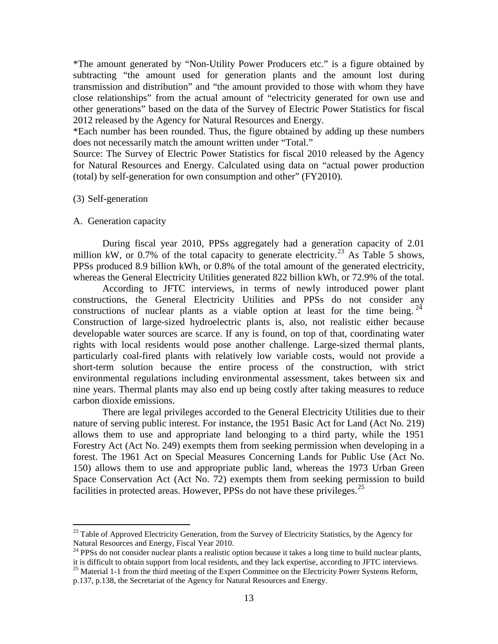\*The amount generated by "Non-Utility Power Producers etc." is a figure obtained by subtracting "the amount used for generation plants and the amount lost during transmission and distribution" and "the amount provided to those with whom they have close relationships" from the actual amount of "electricity generated for own use and other generations" based on the data of the Survey of Electric Power Statistics for fiscal 2012 released by the Agency for Natural Resources and Energy.

\*Each number has been rounded. Thus, the figure obtained by adding up these numbers does not necessarily match the amount written under "Total."

Source: The Survey of Electric Power Statistics for fiscal 2010 released by the Agency for Natural Resources and Energy. Calculated using data on "actual power production (total) by self-generation for own consumption and other" (FY2010).

### (3) Self-generation

### A. Generation capacity

During fiscal year 2010, PPSs aggregately had a generation capacity of 2.01 million kW, or 0.7% of the total capacity to generate electricity.<sup>[23](#page-16-0)</sup> As Table 5 shows, PPSs produced 8.9 billion kWh, or 0.8% of the total amount of the generated electricity, whereas the General Electricity Utilities generated 822 billion kWh, or 72.9% of the total.

According to JFTC interviews, in terms of newly introduced power plant constructions, the General Electricity Utilities and PPSs do not consider any constructions of nuclear plants as a viable option at least for the time being.  $2<sup>4</sup>$ Construction of large-sized hydroelectric plants is, also, not realistic either because developable water sources are scarce. If any is found, on top of that, coordinating water rights with local residents would pose another challenge. Large-sized thermal plants, particularly coal-fired plants with relatively low variable costs, would not provide a short-term solution because the entire process of the construction, with strict environmental regulations including environmental assessment, takes between six and nine years. Thermal plants may also end up being costly after taking measures to reduce carbon dioxide emissions.

There are legal privileges accorded to the General Electricity Utilities due to their nature of serving public interest. For instance, the 1951 Basic Act for Land (Act No. 219) allows them to use and appropriate land belonging to a third party, while the 1951 Forestry Act (Act No. 249) exempts them from seeking permission when developing in a forest. The 1961 Act on Special Measures Concerning Lands for Public Use (Act No. 150) allows them to use and appropriate public land, whereas the 1973 Urban Green Space Conservation Act (Act No. 72) exempts them from seeking permission to build facilities in protected areas. However, PPSs do not have these privileges.<sup>[25](#page-16-2)</sup>

<span id="page-16-0"></span><sup>&</sup>lt;sup>23</sup> Table of Approved Electricity Generation, from the Survey of Electricity Statistics, by the Agency for Natural Resources and Energy, Fiscal Year 2010.

<span id="page-16-1"></span> $^{24}$  PPSs do not consider nuclear plants a realistic option because it takes a long time to build nuclear plants, it is difficult to obtain support from local residents, and they lack expertise, according to JFTC interviews. <sup>25</sup> Material 1-1 from the third meeting of the Expert Committee on the Electricity Power Systems Reform,

<span id="page-16-2"></span>

p.137, p.138, the Secretariat of the Agency for Natural Resources and Energy.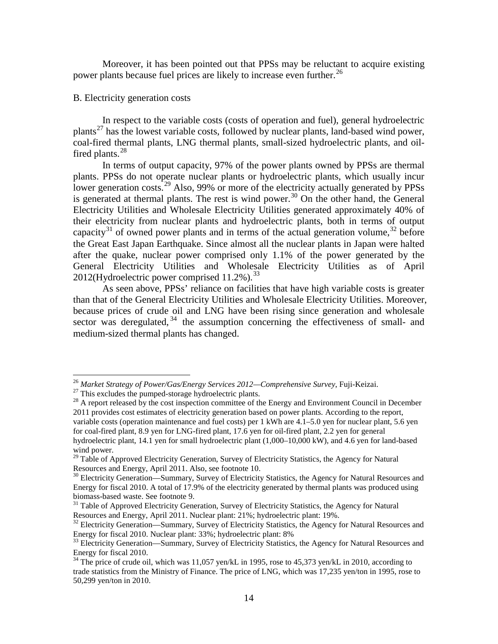Moreover, it has been pointed out that PPSs may be reluctant to acquire existing power plants because fuel prices are likely to increase even further.<sup>[26](#page-17-0)</sup>

## B. Electricity generation costs

In respect to the variable costs (costs of operation and fuel), general hydroelectric plants<sup>[27](#page-17-1)</sup> has the lowest variable costs, followed by nuclear plants, land-based wind power, coal-fired thermal plants, LNG thermal plants, small-sized hydroelectric plants, and oil-fired plants.<sup>[28](#page-17-2)</sup>

In terms of output capacity, 97% of the power plants owned by PPSs are thermal plants. PPSs do not operate nuclear plants or hydroelectric plants, which usually incur lower generation costs.<sup>[29](#page-17-3)</sup> Also, 99% or more of the electricity actually generated by PPSs is generated at thermal plants. The rest is wind power.<sup>[30](#page-17-4)</sup> On the other hand, the General Electricity Utilities and Wholesale Electricity Utilities generated approximately 40% of their electricity from nuclear plants and hydroelectric plants, both in terms of output capacity<sup>[31](#page-17-5)</sup> of owned power plants and in terms of the actual generation volume,  $32$  before the Great East Japan Earthquake. Since almost all the nuclear plants in Japan were halted after the quake, nuclear power comprised only 1.1% of the power generated by the General Electricity Utilities and Wholesale Electricity Utilities as of April 2012(Hydroelectric power comprised 11.2%).<sup>[33](#page-17-7)</sup>

As seen above, PPSs' reliance on facilities that have high variable costs is greater than that of the General Electricity Utilities and Wholesale Electricity Utilities. Moreover, because prices of crude oil and LNG have been rising since generation and wholesale sector was deregulated,  $34$  the assumption concerning the effectiveness of small- and medium-sized thermal plants has changed.

<span id="page-17-2"></span>

<span id="page-17-1"></span><span id="page-17-0"></span><sup>&</sup>lt;sup>26</sup> Market Strategy of Power/Gas/Energy Services 2012—Comprehensive Survey, Fuji-Keizai.<br><sup>27</sup> This excludes the pumped-storage hydroelectric plants.<br><sup>28</sup> A report released by the cost inspection committee of the Energy a 2011 provides cost estimates of electricity generation based on power plants. According to the report, variable costs (operation maintenance and fuel costs) per 1 kWh are 4.1–5.0 yen for nuclear plant, 5.6 yen for coal-fired plant, 8.9 yen for LNG-fired plant, 17.6 yen for oil-fired plant, 2.2 yen for general hydroelectric plant, 14.1 yen for small hydroelectric plant (1,000–10,000 kW), and 4.6 yen for land-based wind power.

<span id="page-17-3"></span><sup>&</sup>lt;sup>29</sup> Table of Approved Electricity Generation, Survey of Electricity Statistics, the Agency for Natural Resources and Energy, April 2011. Also, see footnote 10.

<span id="page-17-4"></span> $\delta$ <sup>0</sup> Electricity Generation—Summary, Survey of Electricity Statistics, the Agency for Natural Resources and Energy for fiscal 2010. A total of 17.9% of the electricity generated by thermal plants was produced using

<span id="page-17-5"></span><sup>&</sup>lt;sup>31</sup> Table of Approved Electricity Generation, Survey of Electricity Statistics, the Agency for Natural Resources and Energy, April 2011. Nuclear plant:  $21\%$ ; hydroelectric plant: 19%.

<span id="page-17-6"></span><sup>&</sup>lt;sup>32</sup> Electricity Generation—Summary, Survey of Electricity Statistics, the Agency for Natural Resources and Energy for fiscal 2010. Nuclear plant: 33%; hydroelectric plant: 8%

<span id="page-17-7"></span><sup>&</sup>lt;sup>33</sup> Electricity Generation—Summary, Survey of Electricity Statistics, the Agency for Natural Resources and Energy for fiscal 2010.

<span id="page-17-8"></span><sup>&</sup>lt;sup>34</sup> The price of crude oil, which was 11,057 yen/kL in 1995, rose to 45,373 yen/kL in 2010, according to trade statistics from the Ministry of Finance. The price of LNG, which was 17,235 yen/ton in 1995, rose to 50,299 yen/ton in 2010.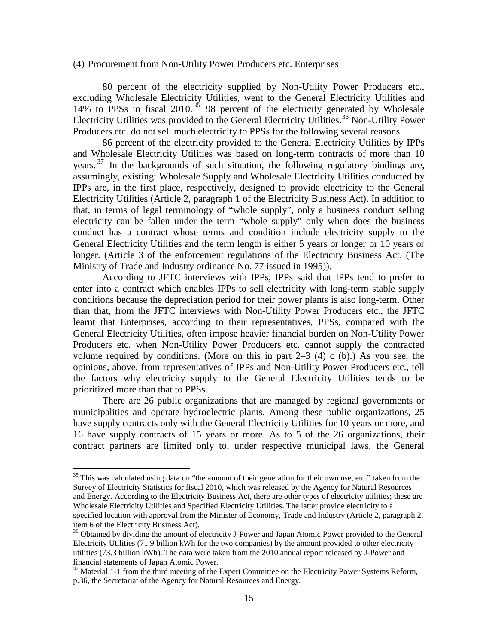#### (4) Procurement from Non-Utility Power Producers etc. Enterprises

80 percent of the electricity supplied by Non-Utility Power Producers etc., excluding Wholesale Electricity Utilities, went to the General Electricity Utilities and 14% to PPSs in fiscal 2010. [35](#page-18-0) 98 percent of the electricity generated by Wholesale Electricity Utilities was provided to the General Electricity Utilities.<sup>[36](#page-18-1)</sup> Non-Utility Power Producers etc. do not sell much electricity to PPSs for the following several reasons.

86 percent of the electricity provided to the General Electricity Utilities by IPPs and Wholesale Electricity Utilities was based on long-term contracts of more than 10 years.<sup>[37](#page-18-2)</sup> In the backgrounds of such situation, the following regulatory bindings are, assumingly, existing: Wholesale Supply and Wholesale Electricity Utilities conducted by IPPs are, in the first place, respectively, designed to provide electricity to the General Electricity Utilities (Article 2, paragraph 1 of the Electricity Business Act). In addition to that, in terms of legal terminology of "whole supply", only a business conduct selling electricity can be fallen under the term "whole supply" only when does the business conduct has a contract whose terms and condition include electricity supply to the General Electricity Utilities and the term length is either 5 years or longer or 10 years or longer. (Article 3 of the enforcement regulations of the Electricity Business Act. (The Ministry of Trade and Industry ordinance No. 77 issued in 1995)).

According to JFTC interviews with IPPs, IPPs said that IPPs tend to prefer to enter into a contract which enables IPPs to sell electricity with long-term stable supply conditions because the depreciation period for their power plants is also long-term. Other than that, from the JFTC interviews with Non-Utility Power Producers etc., the JFTC learnt that Enterprises, according to their representatives, PPSs, compared with the General Electricity Utilities, often impose heavier financial burden on Non-Utility Power Producers etc. when Non-Utility Power Producers etc. cannot supply the contracted volume required by conditions. (More on this in part  $2-3$  (4) c (b).) As you see, the opinions, above, from representatives of IPPs and Non-Utility Power Producers etc., tell the factors why electricity supply to the General Electricity Utilities tends to be prioritized more than that to PPSs.

There are 26 public organizations that are managed by regional governments or municipalities and operate hydroelectric plants. Among these public organizations, 25 have supply contracts only with the General Electricity Utilities for 10 years or more, and 16 have supply contracts of 15 years or more. As to 5 of the 26 organizations, their contract partners are limited only to, under respective municipal laws, the General

<span id="page-18-0"></span><sup>&</sup>lt;sup>35</sup> This was calculated using data on "the amount of their generation for their own use, etc." taken from the Survey of Electricity Statistics for fiscal 2010, which was released by the Agency for Natural Resources and Energy. According to the Electricity Business Act, there are other types of electricity utilities; these are Wholesale Electricity Utilities and Specified Electricity Utilities. The latter provide electricity to a specified location with approval from the Minister of Economy, Trade and Industry (Article 2, paragraph 2, item 6 of the Electricity Business Act).<br><sup>36</sup> Obtained by dividing the amount of electricity J-Power and Japan Atomic Power provided to the General

<span id="page-18-1"></span>Electricity Utilities (71.9 billion kWh for the two companies) by the amount provided to other electricity utilities (73.3 billion kWh). The data were taken from the 2010 annual report released by J-Power and financial statements of Japan Atomic Power.

<span id="page-18-2"></span><sup>&</sup>lt;sup>37</sup> Material 1-1 from the third meeting of the Expert Committee on the Electricity Power Systems Reform, p.36, the Secretariat of the Agency for Natural Resources and Energy.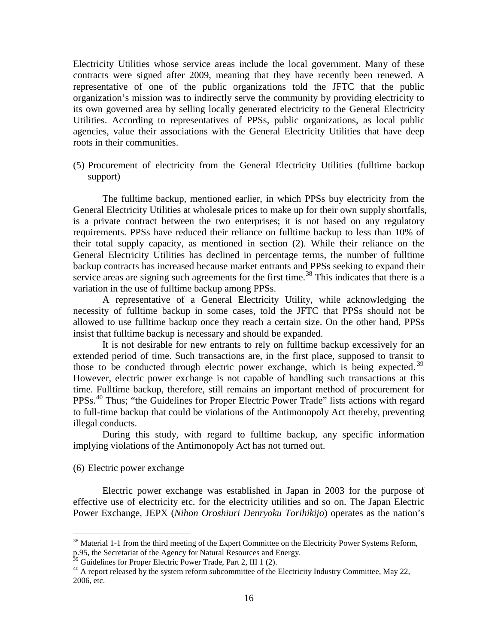Electricity Utilities whose service areas include the local government. Many of these contracts were signed after 2009, meaning that they have recently been renewed. A representative of one of the public organizations told the JFTC that the public organization's mission was to indirectly serve the community by providing electricity to its own governed area by selling locally generated electricity to the General Electricity Utilities. According to representatives of PPSs, public organizations, as local public agencies, value their associations with the General Electricity Utilities that have deep roots in their communities.

(5) Procurement of electricity from the General Electricity Utilities (fulltime backup support)

The fulltime backup, mentioned earlier, in which PPSs buy electricity from the General Electricity Utilities at wholesale prices to make up for their own supply shortfalls, is a private contract between the two enterprises; it is not based on any regulatory requirements. PPSs have reduced their reliance on fulltime backup to less than 10% of their total supply capacity, as mentioned in section (2). While their reliance on the General Electricity Utilities has declined in percentage terms, the number of fulltime backup contracts has increased because market entrants and PPSs seeking to expand their service areas are signing such agreements for the first time.<sup>[38](#page-19-0)</sup> This indicates that there is a variation in the use of fulltime backup among PPSs.

A representative of a General Electricity Utility, while acknowledging the necessity of fulltime backup in some cases, told the JFTC that PPSs should not be allowed to use fulltime backup once they reach a certain size. On the other hand, PPSs insist that fulltime backup is necessary and should be expanded.

It is not desirable for new entrants to rely on fulltime backup excessively for an extended period of time. Such transactions are, in the first place, supposed to transit to those to be conducted through electric power exchange, which is being expected.<sup>[39](#page-19-1)</sup> However, electric power exchange is not capable of handling such transactions at this time. Fulltime backup, therefore, still remains an important method of procurement for PPSs.<sup>[40](#page-19-2)</sup> Thus; "the Guidelines for Proper Electric Power Trade" lists actions with regard to full-time backup that could be violations of the Antimonopoly Act thereby, preventing illegal conducts.

During this study, with regard to fulltime backup, any specific information implying violations of the Antimonopoly Act has not turned out.

#### (6) Electric power exchange

Electric power exchange was established in Japan in 2003 for the purpose of effective use of electricity etc. for the electricity utilities and so on. The Japan Electric Power Exchange, JEPX (*Nihon Oroshiuri Denryoku Torihikijo*) operates as the nation's

<span id="page-19-0"></span><sup>&</sup>lt;sup>38</sup> Material 1-1 from the third meeting of the Expert Committee on the Electricity Power Systems Reform, p.95, the Secretariat of the Agency for Natural Resources and Energy.<br><sup>39</sup> Guidelines for Proper Electric Power Trade, Part 2, III 1 (2).

<span id="page-19-2"></span><span id="page-19-1"></span> $30$  Guidelines for Proper Electric Power Trade, Part 2, Industry Committee, May 22, Industry Committee, May 22, 2006, etc.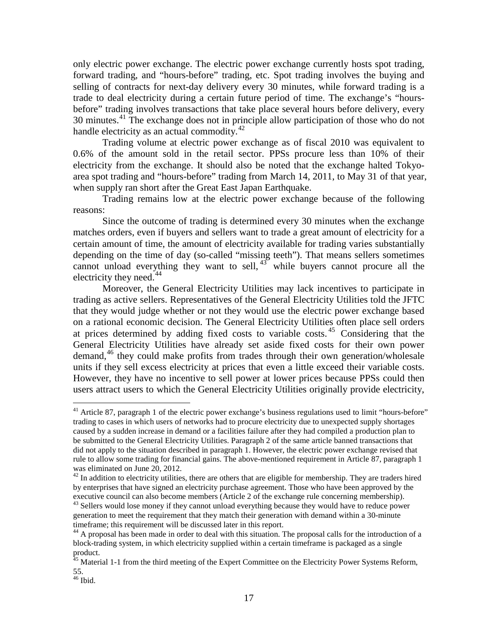only electric power exchange. The electric power exchange currently hosts spot trading, forward trading, and "hours-before" trading, etc. Spot trading involves the buying and selling of contracts for next-day delivery every 30 minutes, while forward trading is a trade to deal electricity during a certain future period of time. The exchange's "hoursbefore" trading involves transactions that take place several hours before delivery, every 30 minutes.<sup>[41](#page-20-0)</sup> The exchange does not in principle allow participation of those who do not handle electricity as an actual commodity.<sup>[42](#page-20-1)</sup>

Trading volume at electric power exchange as of fiscal 2010 was equivalent to 0.6% of the amount sold in the retail sector. PPSs procure less than 10% of their electricity from the exchange. It should also be noted that the exchange halted Tokyoarea spot trading and "hours-before" trading from March 14, 2011, to May 31 of that year, when supply ran short after the Great East Japan Earthquake.

Trading remains low at the electric power exchange because of the following reasons:

Since the outcome of trading is determined every 30 minutes when the exchange matches orders, even if buyers and sellers want to trade a great amount of electricity for a certain amount of time, the amount of electricity available for trading varies substantially depending on the time of day (so-called "missing teeth"). That means sellers sometimes cannot unload everything they want to sell,  $43$  while buyers cannot procure all the electricity they need. $44$ 

Moreover, the General Electricity Utilities may lack incentives to participate in trading as active sellers. Representatives of the General Electricity Utilities told the JFTC that they would judge whether or not they would use the electric power exchange based on a rational economic decision. The General Electricity Utilities often place sell orders at prices determined by adding fixed costs to variable costs. [45](#page-20-4) Considering that the General Electricity Utilities have already set aside fixed costs for their own power demand,<sup>[46](#page-20-5)</sup> they could make profits from trades through their own generation/wholesale units if they sell excess electricity at prices that even a little exceed their variable costs. However, they have no incentive to sell power at lower prices because PPSs could then users attract users to which the General Electricity Utilities originally provide electricity,

<span id="page-20-0"></span><sup>&</sup>lt;sup>41</sup> Article 87, paragraph 1 of the electric power exchange's business regulations used to limit "hours-before" trading to cases in which users of networks had to procure electricity due to unexpected supply shortages caused by a sudden increase in demand or a facilities failure after they had compiled a production plan to be submitted to the General Electricity Utilities. Paragraph 2 of the same article banned transactions that did not apply to the situation described in paragraph 1. However, the electric power exchange revised that rule to allow some trading for financial gains. The above-mentioned requirement in Article 87, paragraph 1 was eliminated on June 20, 2012.

<span id="page-20-2"></span><span id="page-20-1"></span> $42$  In addition to electricity utilities, there are others that are eligible for membership. They are traders hired by enterprises that have signed an electricity purchase agreement. Those who have been approved by the executive council can also become members (Article 2 of the exchange rule concerning membership).  $43$  Sellers would lose money if they cannot unload everything because they would have to reduce power generation to meet the requirement that they match their generation with demand within a 30-minute timeframe; this requirement will be discussed later in this report.

<span id="page-20-3"></span><sup>&</sup>lt;sup>44</sup> A proposal has been made in order to deal with this situation. The proposal calls for the introduction of a block-trading system, in which electricity supplied within a certain timeframe is packaged as a single product.

<span id="page-20-4"></span><sup>&</sup>lt;sup>45</sup> Material 1-1 from the third meeting of the Expert Committee on the Electricity Power Systems Reform, 55.

<span id="page-20-5"></span> $^{46}$  Ibid.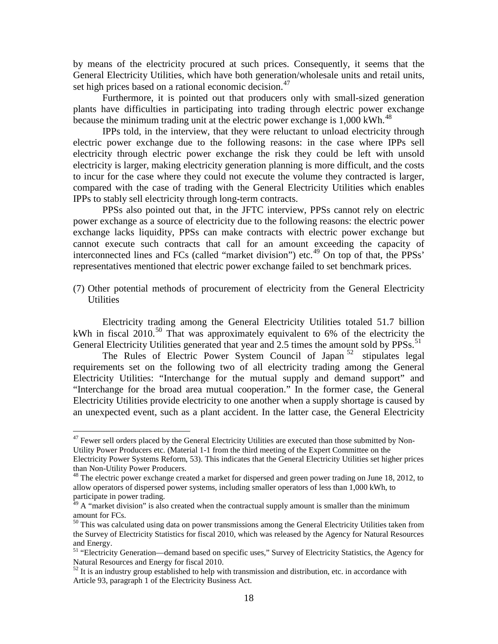by means of the electricity procured at such prices. Consequently, it seems that the General Electricity Utilities, which have both generation/wholesale units and retail units, set high prices based on a rational economic decision.<sup>[47](#page-21-0)</sup>

Furthermore, it is pointed out that producers only with small-sized generation plants have difficulties in participating into trading through electric power exchange because the minimum trading unit at the electric power exchange is 1,000 kWh.<sup>[48](#page-21-1)</sup>

IPPs told, in the interview, that they were reluctant to unload electricity through electric power exchange due to the following reasons: in the case where IPPs sell electricity through electric power exchange the risk they could be left with unsold electricity is larger, making electricity generation planning is more difficult, and the costs to incur for the case where they could not execute the volume they contracted is larger, compared with the case of trading with the General Electricity Utilities which enables IPPs to stably sell electricity through long-term contracts.

PPSs also pointed out that, in the JFTC interview, PPSs cannot rely on electric power exchange as a source of electricity due to the following reasons: the electric power exchange lacks liquidity, PPSs can make contracts with electric power exchange but cannot execute such contracts that call for an amount exceeding the capacity of interconnected lines and FCs (called "market division") etc.<sup>[49](#page-21-2)</sup> On top of that, the PPSs' representatives mentioned that electric power exchange failed to set benchmark prices.

(7) Other potential methods of procurement of electricity from the General Electricity **Utilities** 

Electricity trading among the General Electricity Utilities totaled 51.7 billion kWh in fiscal 2010.<sup>[50](#page-21-3)</sup> That was approximately equivalent to 6% of the electricity the General Electricity Utilities generated that year and 2.5 times the amount sold by PPSs.<sup>[51](#page-21-4)</sup>

The Rules of Electric Power System Council of Japan<sup>[52](#page-21-5)</sup> stipulates legal requirements set on the following two of all electricity trading among the General Electricity Utilities: "Interchange for the mutual supply and demand support" and "Interchange for the broad area mutual cooperation." In the former case, the General Electricity Utilities provide electricity to one another when a supply shortage is caused by an unexpected event, such as a plant accident. In the latter case, the General Electricity

<span id="page-21-0"></span><sup>&</sup>lt;sup>47</sup> Fewer sell orders placed by the General Electricity Utilities are executed than those submitted by Non-Utility Power Producers etc. (Material 1-1 from the third meeting of the Expert Committee on the

Electricity Power Systems Reform, 53). This indicates that the General Electricity Utilities set higher prices than Non-Utility Power Producers.

<span id="page-21-1"></span> $48$  The electric power exchange created a market for dispersed and green power trading on June 18, 2012, to allow operators of dispersed power systems, including smaller operators of less than 1,000 kWh, to participate in power trading.

<span id="page-21-2"></span> $49$  A "market division" is also created when the contractual supply amount is smaller than the minimum amount for FCs.<br><sup>50</sup> This was calculated using data on power transmissions among the General Electricity Utilities taken from

<span id="page-21-3"></span>the Survey of Electricity Statistics for fiscal 2010, which was released by the Agency for Natural Resources and Energy.

<span id="page-21-4"></span><sup>&</sup>lt;sup>51</sup> "Electricity Generation—demand based on specific uses," Survey of Electricity Statistics, the Agency for Natural Resources and Energy for fiscal 2010.

<span id="page-21-5"></span> $52$  It is an industry group established to help with transmission and distribution, etc. in accordance with Article 93, paragraph 1 of the Electricity Business Act.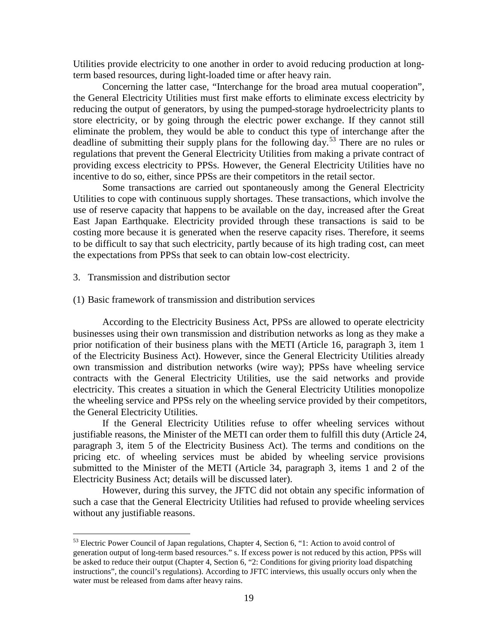Utilities provide electricity to one another in order to avoid reducing production at longterm based resources, during light-loaded time or after heavy rain.

Concerning the latter case, "Interchange for the broad area mutual cooperation", the General Electricity Utilities must first make efforts to eliminate excess electricity by reducing the output of generators, by using the pumped-storage hydroelectricity plants to store electricity, or by going through the electric power exchange. If they cannot still eliminate the problem, they would be able to conduct this type of interchange after the deadline of submitting their supply plans for the following day.[53](#page-22-0) There are no rules or regulations that prevent the General Electricity Utilities from making a private contract of providing excess electricity to PPSs. However, the General Electricity Utilities have no incentive to do so, either, since PPSs are their competitors in the retail sector.

Some transactions are carried out spontaneously among the General Electricity Utilities to cope with continuous supply shortages. These transactions, which involve the use of reserve capacity that happens to be available on the day, increased after the Great East Japan Earthquake. Electricity provided through these transactions is said to be costing more because it is generated when the reserve capacity rises. Therefore, it seems to be difficult to say that such electricity, partly because of its high trading cost, can meet the expectations from PPSs that seek to can obtain low-cost electricity.

#### 3. Transmission and distribution sector

### (1) Basic framework of transmission and distribution services

According to the Electricity Business Act, PPSs are allowed to operate electricity businesses using their own transmission and distribution networks as long as they make a prior notification of their business plans with the METI (Article 16, paragraph 3, item 1 of the Electricity Business Act). However, since the General Electricity Utilities already own transmission and distribution networks (wire way); PPSs have wheeling service contracts with the General Electricity Utilities, use the said networks and provide electricity. This creates a situation in which the General Electricity Utilities monopolize the wheeling service and PPSs rely on the wheeling service provided by their competitors, the General Electricity Utilities.

If the General Electricity Utilities refuse to offer wheeling services without justifiable reasons, the Minister of the METI can order them to fulfill this duty (Article 24, paragraph 3, item 5 of the Electricity Business Act). The terms and conditions on the pricing etc. of wheeling services must be abided by wheeling service provisions submitted to the Minister of the METI (Article 34, paragraph 3, items 1 and 2 of the Electricity Business Act; details will be discussed later).

However, during this survey, the JFTC did not obtain any specific information of such a case that the General Electricity Utilities had refused to provide wheeling services without any justifiable reasons.

<span id="page-22-0"></span><sup>&</sup>lt;sup>53</sup> Electric Power Council of Japan regulations, Chapter 4, Section 6, "1: Action to avoid control of generation output of long-term based resources." s. If excess power is not reduced by this action, PPSs will be asked to reduce their output (Chapter 4, Section 6, "2: Conditions for giving priority load dispatching instructions", the council's regulations). According to JFTC interviews, this usually occurs only when the water must be released from dams after heavy rains.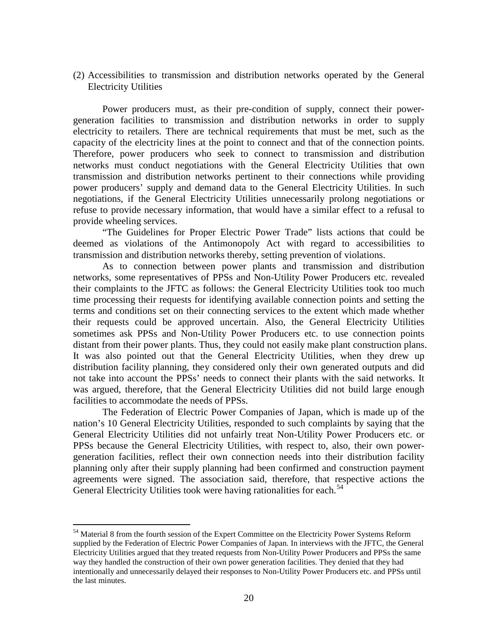(2) Accessibilities to transmission and distribution networks operated by the General Electricity Utilities

Power producers must, as their pre-condition of supply, connect their powergeneration facilities to transmission and distribution networks in order to supply electricity to retailers. There are technical requirements that must be met, such as the capacity of the electricity lines at the point to connect and that of the connection points. Therefore, power producers who seek to connect to transmission and distribution networks must conduct negotiations with the General Electricity Utilities that own transmission and distribution networks pertinent to their connections while providing power producers' supply and demand data to the General Electricity Utilities. In such negotiations, if the General Electricity Utilities unnecessarily prolong negotiations or refuse to provide necessary information, that would have a similar effect to a refusal to provide wheeling services.

"The Guidelines for Proper Electric Power Trade" lists actions that could be deemed as violations of the Antimonopoly Act with regard to accessibilities to transmission and distribution networks thereby, setting prevention of violations.

As to connection between power plants and transmission and distribution networks, some representatives of PPSs and Non-Utility Power Producers etc. revealed their complaints to the JFTC as follows: the General Electricity Utilities took too much time processing their requests for identifying available connection points and setting the terms and conditions set on their connecting services to the extent which made whether their requests could be approved uncertain. Also, the General Electricity Utilities sometimes ask PPSs and Non-Utility Power Producers etc. to use connection points distant from their power plants. Thus, they could not easily make plant construction plans. It was also pointed out that the General Electricity Utilities, when they drew up distribution facility planning, they considered only their own generated outputs and did not take into account the PPSs' needs to connect their plants with the said networks. It was argued, therefore, that the General Electricity Utilities did not build large enough facilities to accommodate the needs of PPSs.

The Federation of Electric Power Companies of Japan, which is made up of the nation's 10 General Electricity Utilities, responded to such complaints by saying that the General Electricity Utilities did not unfairly treat Non-Utility Power Producers etc. or PPSs because the General Electricity Utilities, with respect to, also, their own powergeneration facilities, reflect their own connection needs into their distribution facility planning only after their supply planning had been confirmed and construction payment agreements were signed. The association said, therefore, that respective actions the General Electricity Utilities took were having rationalities for each.<sup>[54](#page-23-0)</sup>

<span id="page-23-0"></span><sup>&</sup>lt;sup>54</sup> Material 8 from the fourth session of the Expert Committee on the Electricity Power Systems Reform supplied by the Federation of Electric Power Companies of Japan. In interviews with the JFTC, the General Electricity Utilities argued that they treated requests from Non-Utility Power Producers and PPSs the same way they handled the construction of their own power generation facilities. They denied that they had intentionally and unnecessarily delayed their responses to Non-Utility Power Producers etc. and PPSs until the last minutes.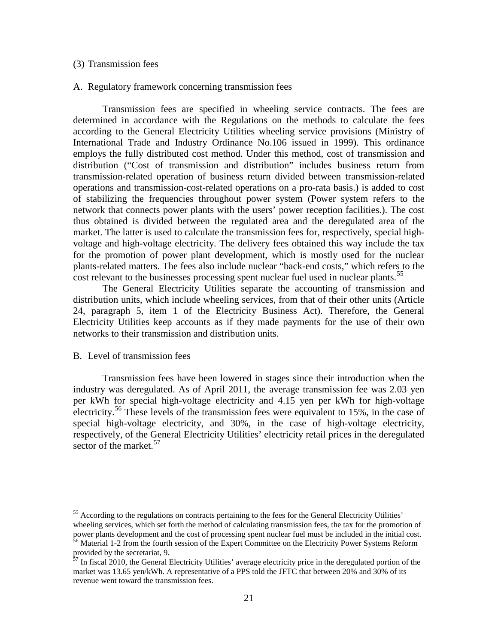#### (3) Transmission fees

### A. Regulatory framework concerning transmission fees

Transmission fees are specified in wheeling service contracts. The fees are determined in accordance with the Regulations on the methods to calculate the fees according to the General Electricity Utilities wheeling service provisions (Ministry of International Trade and Industry Ordinance No.106 issued in 1999). This ordinance employs the fully distributed cost method. Under this method, cost of transmission and distribution ("Cost of transmission and distribution" includes business return from transmission-related operation of business return divided between transmission-related operations and transmission-cost-related operations on a pro-rata basis.) is added to cost of stabilizing the frequencies throughout power system (Power system refers to the network that connects power plants with the users' power reception facilities.). The cost thus obtained is divided between the regulated area and the deregulated area of the market. The latter is used to calculate the transmission fees for, respectively, special highvoltage and high-voltage electricity. The delivery fees obtained this way include the tax for the promotion of power plant development, which is mostly used for the nuclear plants-related matters. The fees also include nuclear "back-end costs," which refers to the cost relevant to the businesses processing spent nuclear fuel used in nuclear plants.<sup>[55](#page-24-0)</sup>

The General Electricity Utilities separate the accounting of transmission and distribution units, which include wheeling services, from that of their other units (Article 24, paragraph 5, item 1 of the Electricity Business Act). Therefore, the General Electricity Utilities keep accounts as if they made payments for the use of their own networks to their transmission and distribution units.

### B. Level of transmission fees

Transmission fees have been lowered in stages since their introduction when the industry was deregulated. As of April 2011, the average transmission fee was 2.03 yen per kWh for special high-voltage electricity and 4.15 yen per kWh for high-voltage electricity.<sup>[56](#page-24-1)</sup> These levels of the transmission fees were equivalent to 15%, in the case of special high-voltage electricity, and 30%, in the case of high-voltage electricity, respectively, of the General Electricity Utilities' electricity retail prices in the deregulated sector of the market.  $57$ 

<span id="page-24-0"></span><sup>&</sup>lt;sup>55</sup> According to the regulations on contracts pertaining to the fees for the General Electricity Utilities' wheeling services, which set forth the method of calculating transmission fees, the tax for the promotion of power plants development and the cost of processing spent nuclear fuel must be included in the initial cost. <sup>56</sup> Material 1-2 from the fourth session of the Expert Committee on the Electricity Power Systems Reform

<span id="page-24-2"></span><span id="page-24-1"></span>provided by the secretariat, 9.<br> $^{57}$  In figure 1.2.2.2.2.

<sup>57</sup> In fiscal 2010, the General Electricity Utilities' average electricity price in the deregulated portion of the market was 13.65 yen/kWh. A representative of a PPS told the JFTC that between 20% and 30% of its revenue went toward the transmission fees.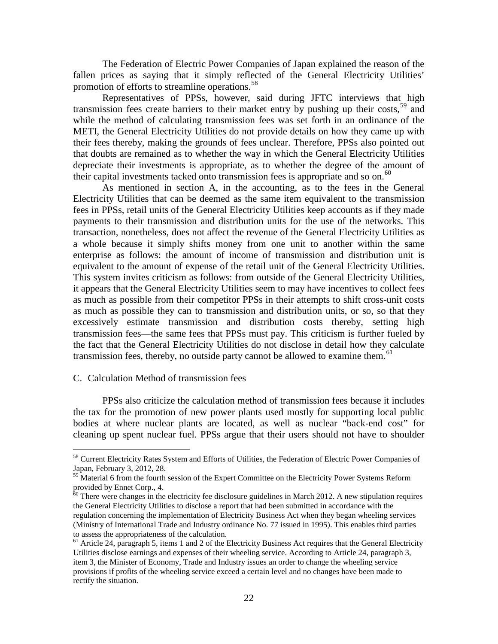The Federation of Electric Power Companies of Japan explained the reason of the fallen prices as saying that it simply reflected of the General Electricity Utilities' promotion of efforts to streamline operations.<sup>[58](#page-25-0)</sup>

Representatives of PPSs, however, said during JFTC interviews that high transmission fees create barriers to their market entry by pushing up their costs,<sup>[59](#page-25-1)</sup> and while the method of calculating transmission fees was set forth in an ordinance of the METI, the General Electricity Utilities do not provide details on how they came up with their fees thereby, making the grounds of fees unclear. Therefore, PPSs also pointed out that doubts are remained as to whether the way in which the General Electricity Utilities depreciate their investments is appropriate, as to whether the degree of the amount of their capital investments tacked onto transmission fees is appropriate and so on.<sup>[60](#page-25-2)</sup>

As mentioned in section A, in the accounting, as to the fees in the General Electricity Utilities that can be deemed as the same item equivalent to the transmission fees in PPSs, retail units of the General Electricity Utilities keep accounts as if they made payments to their transmission and distribution units for the use of the networks. This transaction, nonetheless, does not affect the revenue of the General Electricity Utilities as a whole because it simply shifts money from one unit to another within the same enterprise as follows: the amount of income of transmission and distribution unit is equivalent to the amount of expense of the retail unit of the General Electricity Utilities. This system invites criticism as follows: from outside of the General Electricity Utilities, it appears that the General Electricity Utilities seem to may have incentives to collect fees as much as possible from their competitor PPSs in their attempts to shift cross-unit costs as much as possible they can to transmission and distribution units, or so, so that they excessively estimate transmission and distribution costs thereby, setting high transmission fees—the same fees that PPSs must pay. This criticism is further fueled by the fact that the General Electricity Utilities do not disclose in detail how they calculate transmission fees, thereby, no outside party cannot be allowed to examine them.<sup>[61](#page-25-3)</sup>

#### C. Calculation Method of transmission fees

PPSs also criticize the calculation method of transmission fees because it includes the tax for the promotion of new power plants used mostly for supporting local public bodies at where nuclear plants are located, as well as nuclear "back-end cost" for cleaning up spent nuclear fuel. PPSs argue that their users should not have to shoulder

<span id="page-25-0"></span><sup>&</sup>lt;sup>58</sup> Current Electricity Rates System and Efforts of Utilities, the Federation of Electric Power Companies of Japan, February 3, 2012, 28.

<span id="page-25-1"></span><sup>&</sup>lt;sup>59</sup> Material 6 from the fourth session of the Expert Committee on the Electricity Power Systems Reform provided by Ennet Corp., 4.

<span id="page-25-2"></span> $60$  There were changes in the electricity fee disclosure guidelines in March 2012. A new stipulation requires the General Electricity Utilities to disclose a report that had been submitted in accordance with the regulation concerning the implementation of Electricity Business Act when they began wheeling services (Ministry of International Trade and Industry ordinance No. 77 issued in 1995). This enables third parties to assess the appropriateness of the calculation.<br><sup>61</sup> Article 24, paragraph 5, items 1 and 2 of the Electricity Business Act requires that the General Electricity

<span id="page-25-3"></span>Utilities disclose earnings and expenses of their wheeling service. According to Article 24, paragraph 3, item 3, the Minister of Economy, Trade and Industry issues an order to change the wheeling service provisions if profits of the wheeling service exceed a certain level and no changes have been made to rectify the situation.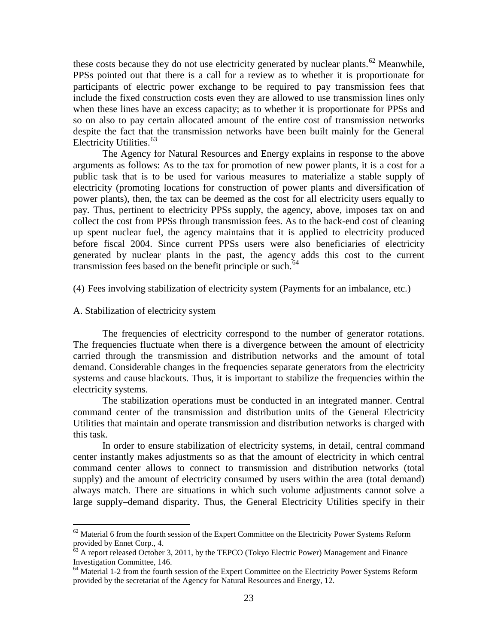these costs because they do not use electricity generated by nuclear plants.<sup>[62](#page-26-0)</sup> Meanwhile, PPSs pointed out that there is a call for a review as to whether it is proportionate for participants of electric power exchange to be required to pay transmission fees that include the fixed construction costs even they are allowed to use transmission lines only when these lines have an excess capacity; as to whether it is proportionate for PPSs and so on also to pay certain allocated amount of the entire cost of transmission networks despite the fact that the transmission networks have been built mainly for the General Electricity Utilities. [63](#page-26-1)

The Agency for Natural Resources and Energy explains in response to the above arguments as follows: As to the tax for promotion of new power plants, it is a cost for a public task that is to be used for various measures to materialize a stable supply of electricity (promoting locations for construction of power plants and diversification of power plants), then, the tax can be deemed as the cost for all electricity users equally to pay. Thus, pertinent to electricity PPSs supply, the agency, above, imposes tax on and collect the cost from PPSs through transmission fees. As to the back-end cost of cleaning up spent nuclear fuel, the agency maintains that it is applied to electricity produced before fiscal 2004. Since current PPSs users were also beneficiaries of electricity generated by nuclear plants in the past, the agency adds this cost to the current transmission fees based on the benefit principle or such.<sup>[64](#page-26-2)</sup>

(4) Fees involving stabilization of electricity system (Payments for an imbalance, etc.)

A. Stabilization of electricity system

The frequencies of electricity correspond to the number of generator rotations. The frequencies fluctuate when there is a divergence between the amount of electricity carried through the transmission and distribution networks and the amount of total demand. Considerable changes in the frequencies separate generators from the electricity systems and cause blackouts. Thus, it is important to stabilize the frequencies within the electricity systems.

The stabilization operations must be conducted in an integrated manner. Central command center of the transmission and distribution units of the General Electricity Utilities that maintain and operate transmission and distribution networks is charged with this task.

In order to ensure stabilization of electricity systems, in detail, central command center instantly makes adjustments so as that the amount of electricity in which central command center allows to connect to transmission and distribution networks (total supply) and the amount of electricity consumed by users within the area (total demand) always match. There are situations in which such volume adjustments cannot solve a large supply–demand disparity. Thus, the General Electricity Utilities specify in their

<span id="page-26-0"></span> $62$  Material 6 from the fourth session of the Expert Committee on the Electricity Power Systems Reform provided by Ennet Corp., 4.

<span id="page-26-1"></span> $63$  A report released October 3, 2011, by the TEPCO (Tokyo Electric Power) Management and Finance Investigation Committee, 146.<br><sup>64</sup> Material 1-2 from the fourth session of the Expert Committee on the Electricity Power Systems Reform

<span id="page-26-2"></span>provided by the secretariat of the Agency for Natural Resources and Energy, 12.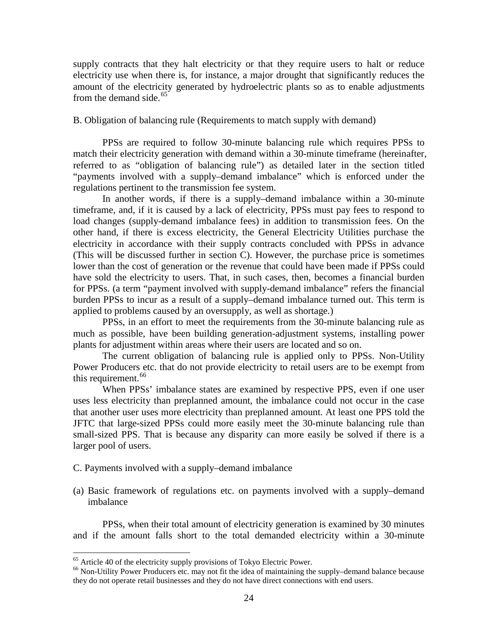supply contracts that they halt electricity or that they require users to halt or reduce electricity use when there is, for instance, a major drought that significantly reduces the amount of the electricity generated by hydroelectric plants so as to enable adjustments from the demand side.<sup>[65](#page-27-0)</sup>

## B. Obligation of balancing rule (Requirements to match supply with demand)

PPSs are required to follow 30-minute balancing rule which requires PPSs to match their electricity generation with demand within a 30-minute timeframe (hereinafter, referred to as "obligation of balancing rule") as detailed later in the section titled "payments involved with a supply–demand imbalance" which is enforced under the regulations pertinent to the transmission fee system.

In another words, if there is a supply–demand imbalance within a 30-minute timeframe, and, if it is caused by a lack of electricity, PPSs must pay fees to respond to load changes (supply-demand imbalance fees) in addition to transmission fees. On the other hand, if there is excess electricity, the General Electricity Utilities purchase the electricity in accordance with their supply contracts concluded with PPSs in advance (This will be discussed further in section C). However, the purchase price is sometimes lower than the cost of generation or the revenue that could have been made if PPSs could have sold the electricity to users. That, in such cases, then, becomes a financial burden for PPSs. (a term "payment involved with supply-demand imbalance" refers the financial burden PPSs to incur as a result of a supply–demand imbalance turned out. This term is applied to problems caused by an oversupply, as well as shortage.)

PPSs, in an effort to meet the requirements from the 30-minute balancing rule as much as possible, have been building generation-adjustment systems, installing power plants for adjustment within areas where their users are located and so on.

The current obligation of balancing rule is applied only to PPSs. Non-Utility Power Producers etc. that do not provide electricity to retail users are to be exempt from this requirement.<sup>[66](#page-27-1)</sup>

When PPSs' imbalance states are examined by respective PPS, even if one user uses less electricity than preplanned amount, the imbalance could not occur in the case that another user uses more electricity than preplanned amount. At least one PPS told the JFTC that large-sized PPSs could more easily meet the 30-minute balancing rule than small-sized PPS. That is because any disparity can more easily be solved if there is a larger pool of users.

- C. Payments involved with a supply–demand imbalance
- (a) Basic framework of regulations etc. on payments involved with a supply–demand imbalance

PPSs, when their total amount of electricity generation is examined by 30 minutes and if the amount falls short to the total demanded electricity within a 30-minute

<span id="page-27-1"></span><span id="page-27-0"></span><sup>&</sup>lt;sup>65</sup> Article 40 of the electricity supply provisions of Tokyo Electric Power.<br><sup>66</sup> Non-Utility Power Producers etc. may not fit the idea of maintaining the supply–demand balance because they do not operate retail businesses and they do not have direct connections with end users.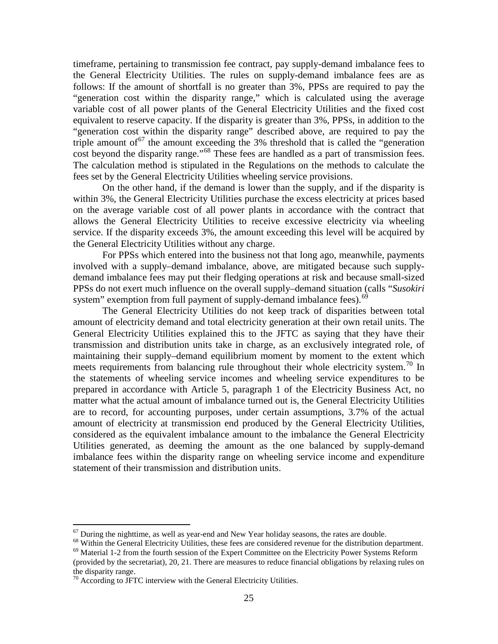timeframe, pertaining to transmission fee contract, pay supply-demand imbalance fees to the General Electricity Utilities. The rules on supply-demand imbalance fees are as follows: If the amount of shortfall is no greater than 3%, PPSs are required to pay the "generation cost within the disparity range," which is calculated using the average variable cost of all power plants of the General Electricity Utilities and the fixed cost equivalent to reserve capacity. If the disparity is greater than 3%, PPSs, in addition to the "generation cost within the disparity range" described above, are required to pay the triple amount of  $67$  the amount exceeding the 3% threshold that is called the "generation" cost beyond the disparity range."<sup>[68](#page-28-1)</sup> These fees are handled as a part of transmission fees. The calculation method is stipulated in the Regulations on the methods to calculate the fees set by the General Electricity Utilities wheeling service provisions.

On the other hand, if the demand is lower than the supply, and if the disparity is within 3%, the General Electricity Utilities purchase the excess electricity at prices based on the average variable cost of all power plants in accordance with the contract that allows the General Electricity Utilities to receive excessive electricity via wheeling service. If the disparity exceeds 3%, the amount exceeding this level will be acquired by the General Electricity Utilities without any charge.

For PPSs which entered into the business not that long ago, meanwhile, payments involved with a supply–demand imbalance, above, are mitigated because such supplydemand imbalance fees may put their fledging operations at risk and because small-sized PPSs do not exert much influence on the overall supply–demand situation (calls "*Susokiri* system" exemption from full payment of supply-demand imbalance fees).<sup>[69](#page-28-2)</sup>

The General Electricity Utilities do not keep track of disparities between total amount of electricity demand and total electricity generation at their own retail units. The General Electricity Utilities explained this to the JFTC as saying that they have their transmission and distribution units take in charge, as an exclusively integrated role, of maintaining their supply–demand equilibrium moment by moment to the extent which meets requirements from balancing rule throughout their whole electricity system.<sup>[70](#page-28-3)</sup> In the statements of wheeling service incomes and wheeling service expenditures to be prepared in accordance with Article 5, paragraph 1 of the Electricity Business Act, no matter what the actual amount of imbalance turned out is, the General Electricity Utilities are to record, for accounting purposes, under certain assumptions, 3.7% of the actual amount of electricity at transmission end produced by the General Electricity Utilities, considered as the equivalent imbalance amount to the imbalance the General Electricity Utilities generated, as deeming the amount as the one balanced by supply-demand imbalance fees within the disparity range on wheeling service income and expenditure statement of their transmission and distribution units.

<span id="page-28-1"></span><span id="page-28-0"></span><sup>&</sup>lt;sup>67</sup> During the nighttime, as well as year-end and New Year holiday seasons, the rates are double.<br><sup>68</sup> Within the General Electricity Utilities, these fees are considered revenue for the distribution department.<br><sup>69</sup> Mat

<span id="page-28-2"></span><sup>(</sup>provided by the secretariat), 20, 21. There are measures to reduce financial obligations by relaxing rules on the disparity range.

<span id="page-28-3"></span> $70$  According to JFTC interview with the General Electricity Utilities.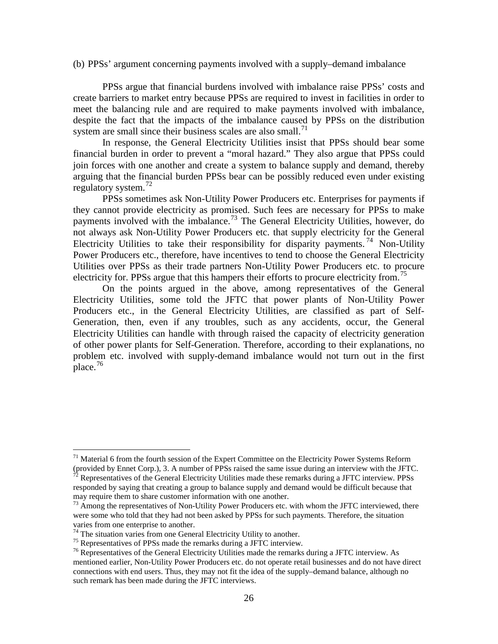(b) PPSs' argument concerning payments involved with a supply–demand imbalance

PPSs argue that financial burdens involved with imbalance raise PPSs' costs and create barriers to market entry because PPSs are required to invest in facilities in order to meet the balancing rule and are required to make payments involved with imbalance, despite the fact that the impacts of the imbalance caused by PPSs on the distribution system are small since their business scales are also small. $^{71}$  $^{71}$  $^{71}$ 

In response, the General Electricity Utilities insist that PPSs should bear some financial burden in order to prevent a "moral hazard." They also argue that PPSs could join forces with one another and create a system to balance supply and demand, thereby arguing that the financial burden PPSs bear can be possibly reduced even under existing regulatory system. [72](#page-29-1)

PPSs sometimes ask Non-Utility Power Producers etc. Enterprises for payments if they cannot provide electricity as promised. Such fees are necessary for PPSs to make payments involved with the imbalance.<sup>[73](#page-29-2)</sup> The General Electricity Utilities, however, do not always ask Non-Utility Power Producers etc. that supply electricity for the General Electricity Utilities to take their responsibility for disparity payments.<sup>[74](#page-29-3)</sup> Non-Utility Power Producers etc., therefore, have incentives to tend to choose the General Electricity Utilities over PPSs as their trade partners Non-Utility Power Producers etc. to procure electricity for. PPSs argue that this hampers their efforts to procure electricity from.<sup>[75](#page-29-4)</sup>

On the points argued in the above, among representatives of the General Electricity Utilities, some told the JFTC that power plants of Non-Utility Power Producers etc., in the General Electricity Utilities, are classified as part of Self-Generation, then, even if any troubles, such as any accidents, occur, the General Electricity Utilities can handle with through raised the capacity of electricity generation of other power plants for Self-Generation. Therefore, according to their explanations, no problem etc. involved with supply-demand imbalance would not turn out in the first place. $^{76}$  $^{76}$  $^{76}$ 

<span id="page-29-0"></span> $71$  Material 6 from the fourth session of the Expert Committee on the Electricity Power Systems Reform (provided by Ennet Corp.), 3. A number of PPSs raised the same issue during an interview with the JFTC.<br><sup>72</sup> Representatives of the General Electricity Utilities made these remarks during a JFTC interview. PPSs

<span id="page-29-1"></span>responded by saying that creating a group to balance supply and demand would be difficult because that may require them to share customer information with one another.

<span id="page-29-2"></span> $73$  Among the representatives of Non-Utility Power Producers etc. with whom the JFTC interviewed, there were some who told that they had not been asked by PPSs for such payments. Therefore, the situation varies from one enterprise to another.<br><sup>74</sup> The situation varies from one General Electricity Utility to another.<br><sup>75</sup> Representatives of PPSs made the remarks during a JFTC interview.<br><sup>76</sup> Representatives of the General

<span id="page-29-3"></span>

<span id="page-29-4"></span>

<span id="page-29-5"></span>mentioned earlier, Non-Utility Power Producers etc. do not operate retail businesses and do not have direct connections with end users. Thus, they may not fit the idea of the supply–demand balance, although no such remark has been made during the JFTC interviews.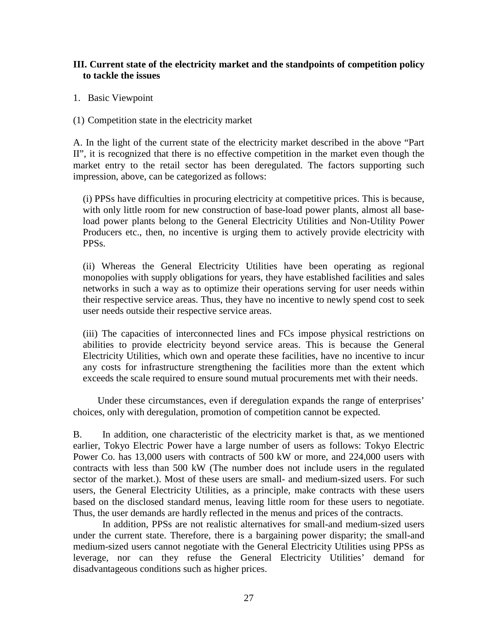# **III. Current state of the electricity market and the standpoints of competition policy to tackle the issues**

- 1. Basic Viewpoint
- (1) Competition state in the electricity market

A. In the light of the current state of the electricity market described in the above "Part II", it is recognized that there is no effective competition in the market even though the market entry to the retail sector has been deregulated. The factors supporting such impression, above, can be categorized as follows:

(i) PPSs have difficulties in procuring electricity at competitive prices. This is because, with only little room for new construction of base-load power plants, almost all baseload power plants belong to the General Electricity Utilities and Non-Utility Power Producers etc., then, no incentive is urging them to actively provide electricity with PPSs.

(ii) Whereas the General Electricity Utilities have been operating as regional monopolies with supply obligations for years, they have established facilities and sales networks in such a way as to optimize their operations serving for user needs within their respective service areas. Thus, they have no incentive to newly spend cost to seek user needs outside their respective service areas.

(iii) The capacities of interconnected lines and FCs impose physical restrictions on abilities to provide electricity beyond service areas. This is because the General Electricity Utilities, which own and operate these facilities, have no incentive to incur any costs for infrastructure strengthening the facilities more than the extent which exceeds the scale required to ensure sound mutual procurements met with their needs.

Under these circumstances, even if deregulation expands the range of enterprises' choices, only with deregulation, promotion of competition cannot be expected.

B. In addition, one characteristic of the electricity market is that, as we mentioned earlier, Tokyo Electric Power have a large number of users as follows: Tokyo Electric Power Co. has 13,000 users with contracts of 500 kW or more, and 224,000 users with contracts with less than 500 kW (The number does not include users in the regulated sector of the market.). Most of these users are small- and medium-sized users. For such users, the General Electricity Utilities, as a principle, make contracts with these users based on the disclosed standard menus, leaving little room for these users to negotiate. Thus, the user demands are hardly reflected in the menus and prices of the contracts.

In addition, PPSs are not realistic alternatives for small-and medium-sized users under the current state. Therefore, there is a bargaining power disparity; the small-and medium-sized users cannot negotiate with the General Electricity Utilities using PPSs as leverage, nor can they refuse the General Electricity Utilities' demand for disadvantageous conditions such as higher prices.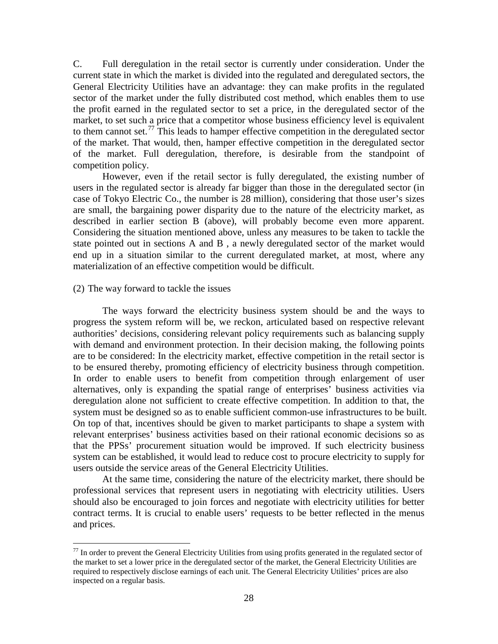C. Full deregulation in the retail sector is currently under consideration. Under the current state in which the market is divided into the regulated and deregulated sectors, the General Electricity Utilities have an advantage: they can make profits in the regulated sector of the market under the fully distributed cost method, which enables them to use the profit earned in the regulated sector to set a price, in the deregulated sector of the market, to set such a price that a competitor whose business efficiency level is equivalent to them cannot set.<sup>[77](#page-31-0)</sup> This leads to hamper effective competition in the deregulated sector of the market. That would, then, hamper effective competition in the deregulated sector of the market. Full deregulation, therefore, is desirable from the standpoint of competition policy.

However, even if the retail sector is fully deregulated, the existing number of users in the regulated sector is already far bigger than those in the deregulated sector (in case of Tokyo Electric Co., the number is 28 million), considering that those user's sizes are small, the bargaining power disparity due to the nature of the electricity market, as described in earlier section B (above), will probably become even more apparent. Considering the situation mentioned above, unless any measures to be taken to tackle the state pointed out in sections A and B , a newly deregulated sector of the market would end up in a situation similar to the current deregulated market, at most, where any materialization of an effective competition would be difficult.

### (2) The way forward to tackle the issues

The ways forward the electricity business system should be and the ways to progress the system reform will be, we reckon, articulated based on respective relevant authorities' decisions, considering relevant policy requirements such as balancing supply with demand and environment protection. In their decision making, the following points are to be considered: In the electricity market, effective competition in the retail sector is to be ensured thereby, promoting efficiency of electricity business through competition. In order to enable users to benefit from competition through enlargement of user alternatives, only is expanding the spatial range of enterprises' business activities via deregulation alone not sufficient to create effective competition. In addition to that, the system must be designed so as to enable sufficient common-use infrastructures to be built. On top of that, incentives should be given to market participants to shape a system with relevant enterprises' business activities based on their rational economic decisions so as that the PPSs' procurement situation would be improved. If such electricity business system can be established, it would lead to reduce cost to procure electricity to supply for users outside the service areas of the General Electricity Utilities.

At the same time, considering the nature of the electricity market, there should be professional services that represent users in negotiating with electricity utilities. Users should also be encouraged to join forces and negotiate with electricity utilities for better contract terms. It is crucial to enable users' requests to be better reflected in the menus and prices.

<span id="page-31-0"></span> $77$  In order to prevent the General Electricity Utilities from using profits generated in the regulated sector of the market to set a lower price in the deregulated sector of the market, the General Electricity Utilities are required to respectively disclose earnings of each unit. The General Electricity Utilities' prices are also inspected on a regular basis.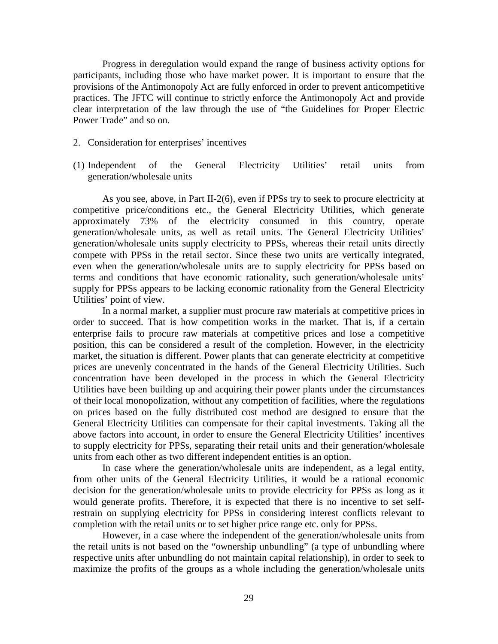Progress in deregulation would expand the range of business activity options for participants, including those who have market power. It is important to ensure that the provisions of the Antimonopoly Act are fully enforced in order to prevent anticompetitive practices. The JFTC will continue to strictly enforce the Antimonopoly Act and provide clear interpretation of the law through the use of "the Guidelines for Proper Electric Power Trade" and so on.

- 2. Consideration for enterprises' incentives
- (1) Independent of the General Electricity Utilities' retail units from generation/wholesale units

As you see, above, in Part II-2(6), even if PPSs try to seek to procure electricity at competitive price/conditions etc., the General Electricity Utilities, which generate approximately 73% of the electricity consumed in this country, operate generation/wholesale units, as well as retail units. The General Electricity Utilities' generation/wholesale units supply electricity to PPSs, whereas their retail units directly compete with PPSs in the retail sector. Since these two units are vertically integrated, even when the generation/wholesale units are to supply electricity for PPSs based on terms and conditions that have economic rationality, such generation/wholesale units' supply for PPSs appears to be lacking economic rationality from the General Electricity Utilities' point of view.

In a normal market, a supplier must procure raw materials at competitive prices in order to succeed. That is how competition works in the market. That is, if a certain enterprise fails to procure raw materials at competitive prices and lose a competitive position, this can be considered a result of the completion. However, in the electricity market, the situation is different. Power plants that can generate electricity at competitive prices are unevenly concentrated in the hands of the General Electricity Utilities. Such concentration have been developed in the process in which the General Electricity Utilities have been building up and acquiring their power plants under the circumstances of their local monopolization, without any competition of facilities, where the regulations on prices based on the fully distributed cost method are designed to ensure that the General Electricity Utilities can compensate for their capital investments. Taking all the above factors into account, in order to ensure the General Electricity Utilities' incentives to supply electricity for PPSs, separating their retail units and their generation/wholesale units from each other as two different independent entities is an option.

In case where the generation/wholesale units are independent, as a legal entity, from other units of the General Electricity Utilities, it would be a rational economic decision for the generation/wholesale units to provide electricity for PPSs as long as it would generate profits. Therefore, it is expected that there is no incentive to set selfrestrain on supplying electricity for PPSs in considering interest conflicts relevant to completion with the retail units or to set higher price range etc. only for PPSs.

However, in a case where the independent of the generation/wholesale units from the retail units is not based on the "ownership unbundling" (a type of unbundling where respective units after unbundling do not maintain capital relationship), in order to seek to maximize the profits of the groups as a whole including the generation/wholesale units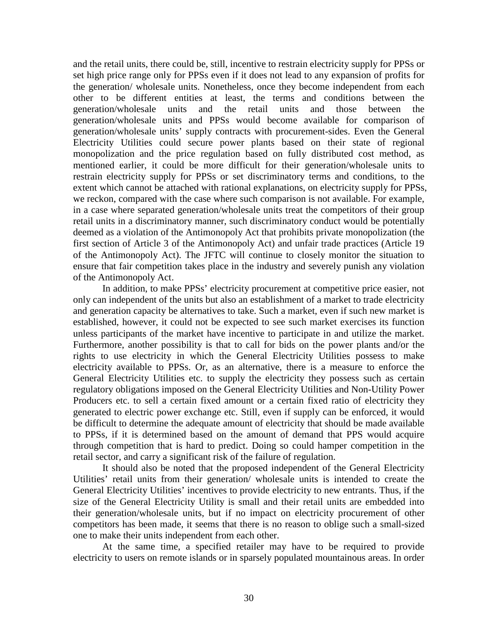and the retail units, there could be, still, incentive to restrain electricity supply for PPSs or set high price range only for PPSs even if it does not lead to any expansion of profits for the generation/ wholesale units. Nonetheless, once they become independent from each other to be different entities at least, the terms and conditions between the generation/wholesale units and the retail units and those between the generation/wholesale units and PPSs would become available for comparison of generation/wholesale units' supply contracts with procurement-sides. Even the General Electricity Utilities could secure power plants based on their state of regional monopolization and the price regulation based on fully distributed cost method, as mentioned earlier, it could be more difficult for their generation/wholesale units to restrain electricity supply for PPSs or set discriminatory terms and conditions, to the extent which cannot be attached with rational explanations, on electricity supply for PPSs, we reckon, compared with the case where such comparison is not available. For example, in a case where separated generation/wholesale units treat the competitors of their group retail units in a discriminatory manner, such discriminatory conduct would be potentially deemed as a violation of the Antimonopoly Act that prohibits private monopolization (the first section of Article 3 of the Antimonopoly Act) and unfair trade practices (Article 19 of the Antimonopoly Act). The JFTC will continue to closely monitor the situation to ensure that fair competition takes place in the industry and severely punish any violation of the Antimonopoly Act.

In addition, to make PPSs' electricity procurement at competitive price easier, not only can independent of the units but also an establishment of a market to trade electricity and generation capacity be alternatives to take. Such a market, even if such new market is established, however, it could not be expected to see such market exercises its function unless participants of the market have incentive to participate in and utilize the market. Furthermore, another possibility is that to call for bids on the power plants and/or the rights to use electricity in which the General Electricity Utilities possess to make electricity available to PPSs. Or, as an alternative, there is a measure to enforce the General Electricity Utilities etc. to supply the electricity they possess such as certain regulatory obligations imposed on the General Electricity Utilities and Non-Utility Power Producers etc. to sell a certain fixed amount or a certain fixed ratio of electricity they generated to electric power exchange etc. Still, even if supply can be enforced, it would be difficult to determine the adequate amount of electricity that should be made available to PPSs, if it is determined based on the amount of demand that PPS would acquire through competition that is hard to predict. Doing so could hamper competition in the retail sector, and carry a significant risk of the failure of regulation.

It should also be noted that the proposed independent of the General Electricity Utilities' retail units from their generation/ wholesale units is intended to create the General Electricity Utilities' incentives to provide electricity to new entrants. Thus, if the size of the General Electricity Utility is small and their retail units are embedded into their generation/wholesale units, but if no impact on electricity procurement of other competitors has been made, it seems that there is no reason to oblige such a small-sized one to make their units independent from each other.

At the same time, a specified retailer may have to be required to provide electricity to users on remote islands or in sparsely populated mountainous areas. In order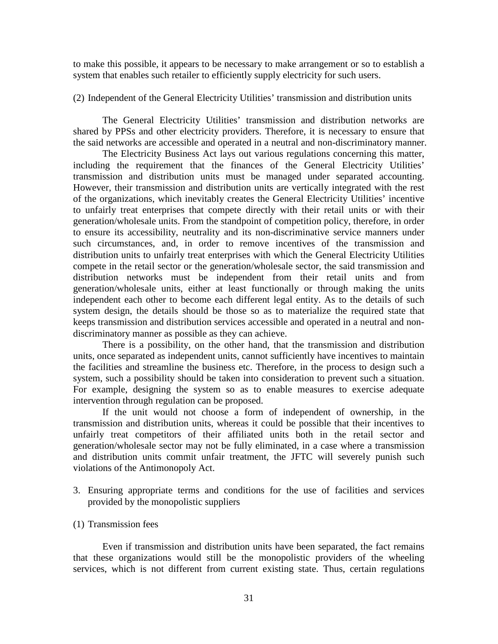to make this possible, it appears to be necessary to make arrangement or so to establish a system that enables such retailer to efficiently supply electricity for such users.

(2) Independent of the General Electricity Utilities' transmission and distribution units

The General Electricity Utilities' transmission and distribution networks are shared by PPSs and other electricity providers. Therefore, it is necessary to ensure that the said networks are accessible and operated in a neutral and non-discriminatory manner.

The Electricity Business Act lays out various regulations concerning this matter, including the requirement that the finances of the General Electricity Utilities' transmission and distribution units must be managed under separated accounting. However, their transmission and distribution units are vertically integrated with the rest of the organizations, which inevitably creates the General Electricity Utilities' incentive to unfairly treat enterprises that compete directly with their retail units or with their generation/wholesale units. From the standpoint of competition policy, therefore, in order to ensure its accessibility, neutrality and its non-discriminative service manners under such circumstances, and, in order to remove incentives of the transmission and distribution units to unfairly treat enterprises with which the General Electricity Utilities compete in the retail sector or the generation/wholesale sector, the said transmission and distribution networks must be independent from their retail units and from generation/wholesale units, either at least functionally or through making the units independent each other to become each different legal entity. As to the details of such system design, the details should be those so as to materialize the required state that keeps transmission and distribution services accessible and operated in a neutral and nondiscriminatory manner as possible as they can achieve.

There is a possibility, on the other hand, that the transmission and distribution units, once separated as independent units, cannot sufficiently have incentives to maintain the facilities and streamline the business etc. Therefore, in the process to design such a system, such a possibility should be taken into consideration to prevent such a situation. For example, designing the system so as to enable measures to exercise adequate intervention through regulation can be proposed.

If the unit would not choose a form of independent of ownership, in the transmission and distribution units, whereas it could be possible that their incentives to unfairly treat competitors of their affiliated units both in the retail sector and generation/wholesale sector may not be fully eliminated, in a case where a transmission and distribution units commit unfair treatment, the JFTC will severely punish such violations of the Antimonopoly Act.

3. Ensuring appropriate terms and conditions for the use of facilities and services provided by the monopolistic suppliers

# (1) Transmission fees

Even if transmission and distribution units have been separated, the fact remains that these organizations would still be the monopolistic providers of the wheeling services, which is not different from current existing state. Thus, certain regulations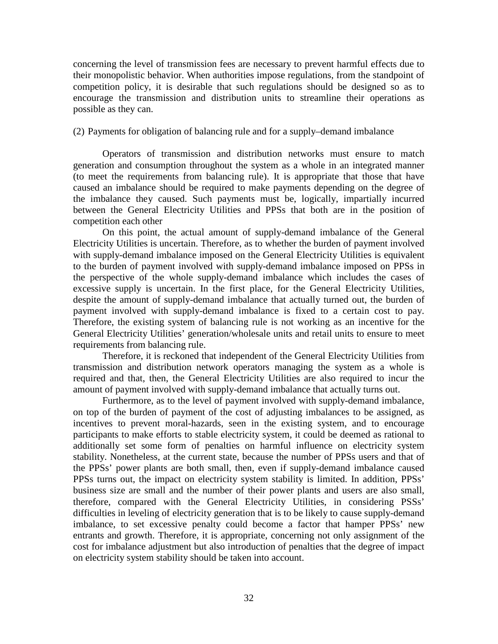concerning the level of transmission fees are necessary to prevent harmful effects due to their monopolistic behavior. When authorities impose regulations, from the standpoint of competition policy, it is desirable that such regulations should be designed so as to encourage the transmission and distribution units to streamline their operations as possible as they can.

## (2) Payments for obligation of balancing rule and for a supply–demand imbalance

Operators of transmission and distribution networks must ensure to match generation and consumption throughout the system as a whole in an integrated manner (to meet the requirements from balancing rule). It is appropriate that those that have caused an imbalance should be required to make payments depending on the degree of the imbalance they caused. Such payments must be, logically, impartially incurred between the General Electricity Utilities and PPSs that both are in the position of competition each other

On this point, the actual amount of supply-demand imbalance of the General Electricity Utilities is uncertain. Therefore, as to whether the burden of payment involved with supply-demand imbalance imposed on the General Electricity Utilities is equivalent to the burden of payment involved with supply-demand imbalance imposed on PPSs in the perspective of the whole supply-demand imbalance which includes the cases of excessive supply is uncertain. In the first place, for the General Electricity Utilities, despite the amount of supply-demand imbalance that actually turned out, the burden of payment involved with supply-demand imbalance is fixed to a certain cost to pay. Therefore, the existing system of balancing rule is not working as an incentive for the General Electricity Utilities' generation/wholesale units and retail units to ensure to meet requirements from balancing rule.

Therefore, it is reckoned that independent of the General Electricity Utilities from transmission and distribution network operators managing the system as a whole is required and that, then, the General Electricity Utilities are also required to incur the amount of payment involved with supply-demand imbalance that actually turns out.

Furthermore, as to the level of payment involved with supply-demand imbalance, on top of the burden of payment of the cost of adjusting imbalances to be assigned, as incentives to prevent moral-hazards, seen in the existing system, and to encourage participants to make efforts to stable electricity system, it could be deemed as rational to additionally set some form of penalties on harmful influence on electricity system stability. Nonetheless, at the current state, because the number of PPSs users and that of the PPSs' power plants are both small, then, even if supply-demand imbalance caused PPSs turns out, the impact on electricity system stability is limited. In addition, PPSs' business size are small and the number of their power plants and users are also small, therefore, compared with the General Electricity Utilities, in considering PSSs' difficulties in leveling of electricity generation that is to be likely to cause supply-demand imbalance, to set excessive penalty could become a factor that hamper PPSs' new entrants and growth. Therefore, it is appropriate, concerning not only assignment of the cost for imbalance adjustment but also introduction of penalties that the degree of impact on electricity system stability should be taken into account.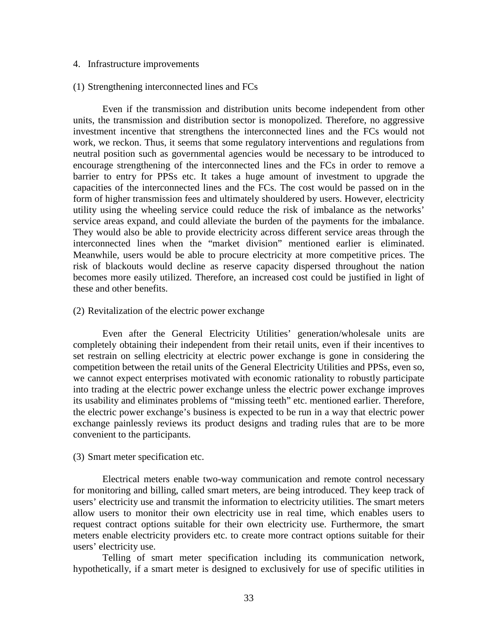#### 4. Infrastructure improvements

### (1) Strengthening interconnected lines and FCs

Even if the transmission and distribution units become independent from other units, the transmission and distribution sector is monopolized. Therefore, no aggressive investment incentive that strengthens the interconnected lines and the FCs would not work, we reckon. Thus, it seems that some regulatory interventions and regulations from neutral position such as governmental agencies would be necessary to be introduced to encourage strengthening of the interconnected lines and the FCs in order to remove a barrier to entry for PPSs etc. It takes a huge amount of investment to upgrade the capacities of the interconnected lines and the FCs. The cost would be passed on in the form of higher transmission fees and ultimately shouldered by users. However, electricity utility using the wheeling service could reduce the risk of imbalance as the networks' service areas expand, and could alleviate the burden of the payments for the imbalance. They would also be able to provide electricity across different service areas through the interconnected lines when the "market division" mentioned earlier is eliminated. Meanwhile, users would be able to procure electricity at more competitive prices. The risk of blackouts would decline as reserve capacity dispersed throughout the nation becomes more easily utilized. Therefore, an increased cost could be justified in light of these and other benefits.

#### (2) Revitalization of the electric power exchange

Even after the General Electricity Utilities' generation/wholesale units are completely obtaining their independent from their retail units, even if their incentives to set restrain on selling electricity at electric power exchange is gone in considering the competition between the retail units of the General Electricity Utilities and PPSs, even so, we cannot expect enterprises motivated with economic rationality to robustly participate into trading at the electric power exchange unless the electric power exchange improves its usability and eliminates problems of "missing teeth" etc. mentioned earlier. Therefore, the electric power exchange's business is expected to be run in a way that electric power exchange painlessly reviews its product designs and trading rules that are to be more convenient to the participants.

# (3) Smart meter specification etc.

Electrical meters enable two-way communication and remote control necessary for monitoring and billing, called smart meters, are being introduced. They keep track of users' electricity use and transmit the information to electricity utilities. The smart meters allow users to monitor their own electricity use in real time, which enables users to request contract options suitable for their own electricity use. Furthermore, the smart meters enable electricity providers etc. to create more contract options suitable for their users' electricity use.

Telling of smart meter specification including its communication network, hypothetically, if a smart meter is designed to exclusively for use of specific utilities in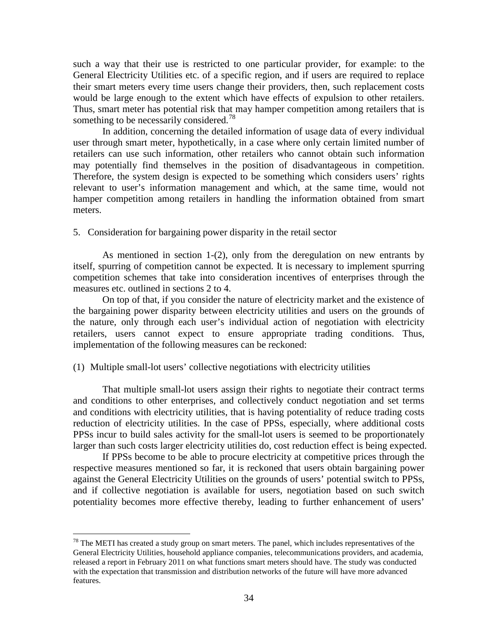such a way that their use is restricted to one particular provider, for example: to the General Electricity Utilities etc. of a specific region, and if users are required to replace their smart meters every time users change their providers, then, such replacement costs would be large enough to the extent which have effects of expulsion to other retailers. Thus, smart meter has potential risk that may hamper competition among retailers that is something to be necessarily considered.<sup>[78](#page-37-0)</sup>

In addition, concerning the detailed information of usage data of every individual user through smart meter, hypothetically, in a case where only certain limited number of retailers can use such information, other retailers who cannot obtain such information may potentially find themselves in the position of disadvantageous in competition. Therefore, the system design is expected to be something which considers users' rights relevant to user's information management and which, at the same time, would not hamper competition among retailers in handling the information obtained from smart meters.

5. Consideration for bargaining power disparity in the retail sector

As mentioned in section 1-(2), only from the deregulation on new entrants by itself, spurring of competition cannot be expected. It is necessary to implement spurring competition schemes that take into consideration incentives of enterprises through the measures etc. outlined in sections 2 to 4.

On top of that, if you consider the nature of electricity market and the existence of the bargaining power disparity between electricity utilities and users on the grounds of the nature, only through each user's individual action of negotiation with electricity retailers, users cannot expect to ensure appropriate trading conditions. Thus, implementation of the following measures can be reckoned:

### (1) Multiple small-lot users' collective negotiations with electricity utilities

That multiple small-lot users assign their rights to negotiate their contract terms and conditions to other enterprises, and collectively conduct negotiation and set terms and conditions with electricity utilities, that is having potentiality of reduce trading costs reduction of electricity utilities. In the case of PPSs, especially, where additional costs PPSs incur to build sales activity for the small-lot users is seemed to be proportionately larger than such costs larger electricity utilities do, cost reduction effect is being expected.

If PPSs become to be able to procure electricity at competitive prices through the respective measures mentioned so far, it is reckoned that users obtain bargaining power against the General Electricity Utilities on the grounds of users' potential switch to PPSs, and if collective negotiation is available for users, negotiation based on such switch potentiality becomes more effective thereby, leading to further enhancement of users'

<span id="page-37-0"></span> $78$  The METI has created a study group on smart meters. The panel, which includes representatives of the General Electricity Utilities, household appliance companies, telecommunications providers, and academia, released a report in February 2011 on what functions smart meters should have. The study was conducted with the expectation that transmission and distribution networks of the future will have more advanced features.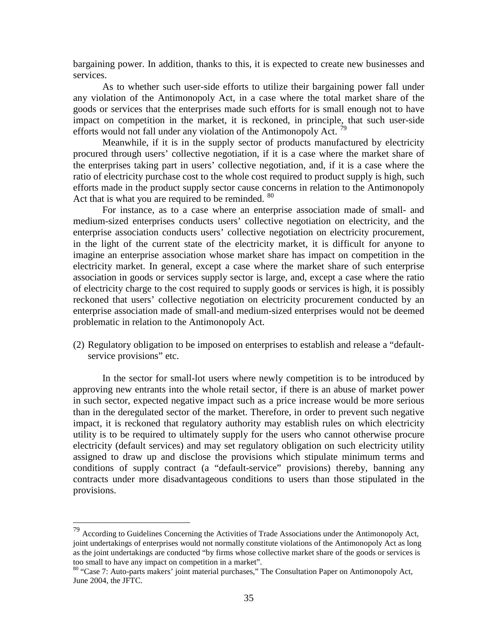bargaining power. In addition, thanks to this, it is expected to create new businesses and services.

As to whether such user-side efforts to utilize their bargaining power fall under any violation of the Antimonopoly Act, in a case where the total market share of the goods or services that the enterprises made such efforts for is small enough not to have impact on competition in the market, it is reckoned, in principle, that such user-side efforts would not fall under any violation of the Antimonopoly Act.<sup>[79](#page-38-0)</sup>

Meanwhile, if it is in the supply sector of products manufactured by electricity procured through users' collective negotiation, if it is a case where the market share of the enterprises taking part in users' collective negotiation, and, if it is a case where the ratio of electricity purchase cost to the whole cost required to product supply is high, such efforts made in the product supply sector cause concerns in relation to the Antimonopoly Act that is what you are required to be reminded.  $80$ 

For instance, as to a case where an enterprise association made of small- and medium-sized enterprises conducts users' collective negotiation on electricity, and the enterprise association conducts users' collective negotiation on electricity procurement, in the light of the current state of the electricity market, it is difficult for anyone to imagine an enterprise association whose market share has impact on competition in the electricity market. In general, except a case where the market share of such enterprise association in goods or services supply sector is large, and, except a case where the ratio of electricity charge to the cost required to supply goods or services is high, it is possibly reckoned that users' collective negotiation on electricity procurement conducted by an enterprise association made of small-and medium-sized enterprises would not be deemed problematic in relation to the Antimonopoly Act.

(2) Regulatory obligation to be imposed on enterprises to establish and release a "defaultservice provisions" etc.

In the sector for small-lot users where newly competition is to be introduced by approving new entrants into the whole retail sector, if there is an abuse of market power in such sector, expected negative impact such as a price increase would be more serious than in the deregulated sector of the market. Therefore, in order to prevent such negative impact, it is reckoned that regulatory authority may establish rules on which electricity utility is to be required to ultimately supply for the users who cannot otherwise procure electricity (default services) and may set regulatory obligation on such electricity utility assigned to draw up and disclose the provisions which stipulate minimum terms and conditions of supply contract (a "default-service" provisions) thereby, banning any contracts under more disadvantageous conditions to users than those stipulated in the provisions.

<span id="page-38-0"></span> <sup>79</sup> According to Guidelines Concerning the Activities of Trade Associations under the Antimonopoly Act, joint undertakings of enterprises would not normally constitute violations of the Antimonopoly Act as long as the joint undertakings are conducted "by firms whose collective market share of the goods or services is too small to have any impact on competition in a market".<br><sup>80</sup> "Case 7: Auto-parts makers' joint material purchases," The Consultation Paper on Antimonopoly Act,

<span id="page-38-1"></span>June 2004, the JFTC.